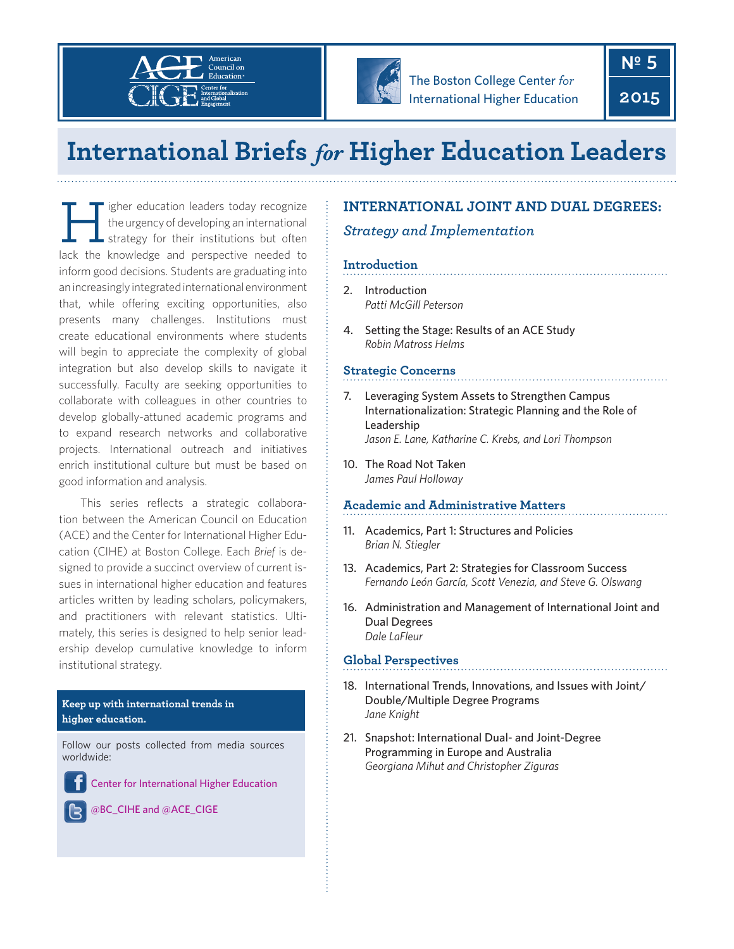



The Boston College Center *for* International Higher Education  **Nº 5**

**2015**

# **International Briefs for Higher Education Leaders**

Tigher education leaders today recognize<br>the urgency of developing an international<br>lack the knowledge and perspective readed to the urgency of developing an international strategy for their institutions but often lack the knowledge and perspective needed to inform good decisions. Students are graduating into an increasingly integrated international environment that, while offering exciting opportunities, also presents many challenges. Institutions must create educational environments where students will begin to appreciate the complexity of global integration but also develop skills to navigate it successfully. Faculty are seeking opportunities to collaborate with colleagues in other countries to develop globally-attuned academic programs and to expand research networks and collaborative projects. International outreach and initiatives enrich institutional culture but must be based on good information and analysis.

This series reflects a strategic collaboration between the American Council on Education (ACE) and the Center for International Higher Education (CIHE) at Boston College. Each *Brief* is designed to provide a succinct overview of current issues in international higher education and features articles written by leading scholars, policymakers, and practitioners with relevant statistics. Ultimately, this series is designed to help senior leadership develop cumulative knowledge to inform institutional strategy.

### **Keep up with international trends in higher education.**

Follow our posts collected from media sources worldwide:

[Center for International Higher Education](http://www.facebook.com/Center.for.International.Higher.Education)

[@BC\\_CIHE](https://twitter.com/BC_CIHE/) and @[ACE\\_CIGE](https://twitter.com/ACE_CIGE/)

# **INTERNATIONAL JOINT AND DUAL DEGREES:**

# *Strategy and Implementation*

# **Introduction**

- 2. Introduction *Patti McGill Peterson*
- 4. Setting the Stage: Results of an ACE Study *Robin Matross Helms*

## **Strategic Concerns**

- 7. Leveraging System Assets to Strengthen Campus Internationalization: Strategic Planning and the Role of Leadership *Jason E. Lane, Katharine C. Krebs, and Lori Thompson*
- 10. The Road Not Taken *James Paul Holloway*

## **Academic and Administrative Matters**

- 11. Academics, Part 1: Structures and Policies *Brian N. Stiegler*
- 13. Academics, Part 2: Strategies for Classroom Success *Fernando León García, Scott Venezia, and Steve G. Olswang*
- 16. Administration and Management of International Joint and Dual Degrees *Dale LaFleur*

## **Global Perspectives**

- 18. International Trends, Innovations, and Issues with Joint/ Double/Multiple Degree Programs *Jane Knight*
- 21. Snapshot: International Dual- and Joint-Degree Programming in Europe and Australia *Georgiana Mihut and Christopher Ziguras*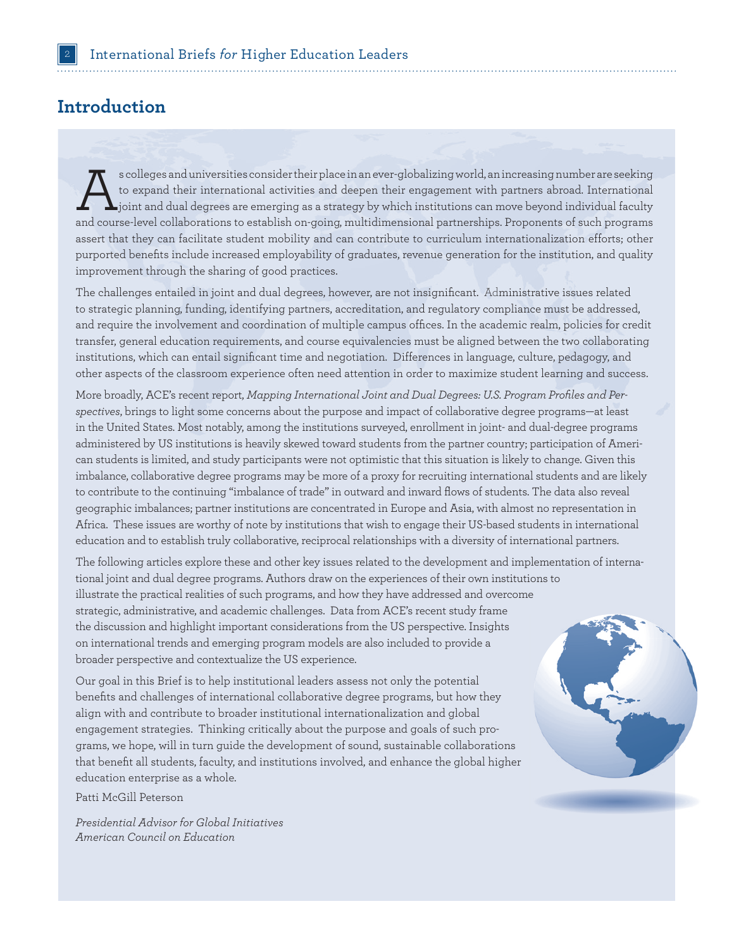# **Introduction**

s colleges and universities consider their place in an ever-globalizing world, an increasing number are seeking<br>to expand their international activities and deepen their engagement with partners abroad. International<br>joint to expand their international activities and deepen their engagement with partners abroad. International  $\blacktriangle$  joint and dual degrees are emerging as a strategy by which institutions can move beyond individual faculty and course-level collaborations to establish on-going, multidimensional partnerships. Proponents of such programs assert that they can facilitate student mobility and can contribute to curriculum internationalization efforts; other purported benefits include increased employability of graduates, revenue generation for the institution, and quality improvement through the sharing of good practices.

The challenges entailed in joint and dual degrees, however, are not insignificant. Administrative issues related to strategic planning, funding, identifying partners, accreditation, and regulatory compliance must be addressed, and require the involvement and coordination of multiple campus offices. In the academic realm, policies for credit transfer, general education requirements, and course equivalencies must be aligned between the two collaborating institutions, which can entail significant time and negotiation. Differences in language, culture, pedagogy, and other aspects of the classroom experience often need attention in order to maximize student learning and success.

More broadly, ACE's recent report, *Mapping International Joint and Dual Degrees: U.S. Program Profiles and Perspectives*, brings to light some concerns about the purpose and impact of collaborative degree programs—at least in the United States. Most notably, among the institutions surveyed, enrollment in joint- and dual-degree programs administered by US institutions is heavily skewed toward students from the partner country; participation of American students is limited, and study participants were not optimistic that this situation is likely to change. Given this imbalance, collaborative degree programs may be more of a proxy for recruiting international students and are likely to contribute to the continuing "imbalance of trade" in outward and inward flows of students. The data also reveal geographic imbalances; partner institutions are concentrated in Europe and Asia, with almost no representation in Africa. These issues are worthy of note by institutions that wish to engage their US-based students in international education and to establish truly collaborative, reciprocal relationships with a diversity of international partners.

The following articles explore these and other key issues related to the development and implementation of international joint and dual degree programs. Authors draw on the experiences of their own institutions to illustrate the practical realities of such programs, and how they have addressed and overcome strategic, administrative, and academic challenges. Data from ACE's recent study frame the discussion and highlight important considerations from the US perspective. Insights on international trends and emerging program models are also included to provide a broader perspective and contextualize the US experience.

Our goal in this Brief is to help institutional leaders assess not only the potential benefits and challenges of international collaborative degree programs, but how they align with and contribute to broader institutional internationalization and global engagement strategies. Thinking critically about the purpose and goals of such programs, we hope, will in turn guide the development of sound, sustainable collaborations that benefit all students, faculty, and institutions involved, and enhance the global higher education enterprise as a whole.

Patti McGill Peterson

*Presidential Advisor for Global Initiatives American Council on Education* 

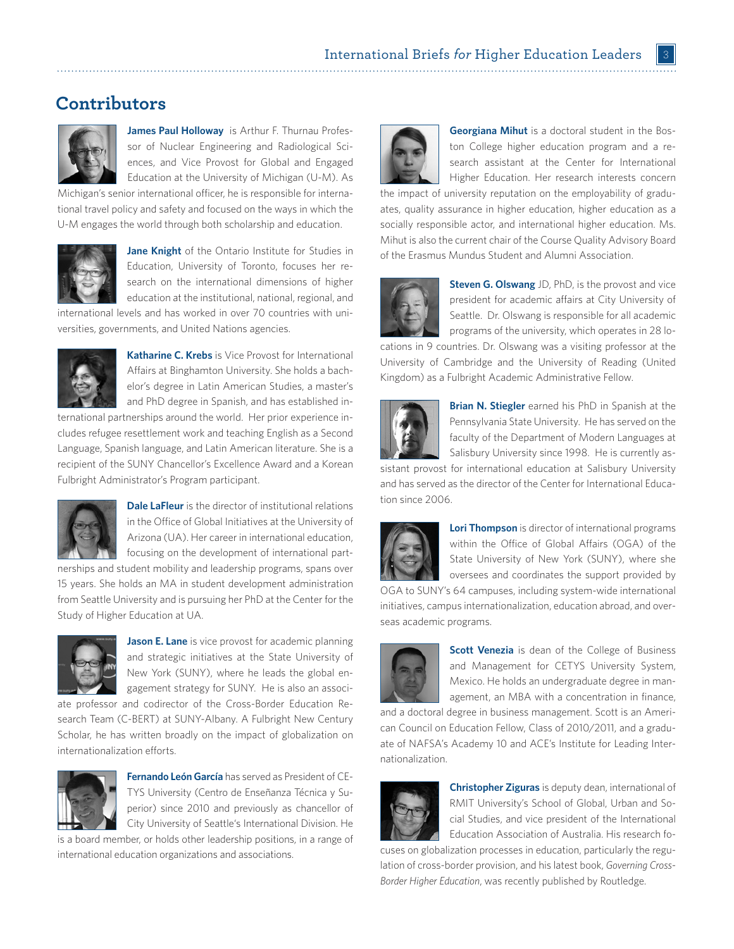# **Contributors**



**James Paul Holloway** is Arthur F. Thurnau Professor of Nuclear Engineering and Radiological Sciences, and Vice Provost for Global and Engaged Education at the University of Michigan (U-M). As

Michigan's senior international officer, he is responsible for international travel policy and safety and focused on the ways in which the U-M engages the world through both scholarship and education.



**Jane Knight** of the Ontario Institute for Studies in Education, University of Toronto, focuses her research on the international dimensions of higher education at the institutional, national, regional, and

international levels and has worked in over 70 countries with universities, governments, and United Nations agencies.



**Katharine C. Krebs** is Vice Provost for International Affairs at Binghamton University. She holds a bachelor's degree in Latin American Studies, a master's and PhD degree in Spanish, and has established in-

ternational partnerships around the world. Her prior experience includes refugee resettlement work and teaching English as a Second Language, Spanish language, and Latin American literature. She is a recipient of the SUNY Chancellor's Excellence Award and a Korean Fulbright Administrator's Program participant.



**Dale LaFleur** is the director of institutional relations in the Office of Global Initiatives at the University of Arizona (UA). Her career in international education, focusing on the development of international part-

nerships and student mobility and leadership programs, spans over 15 years. She holds an MA in student development administration from Seattle University and is pursuing her PhD at the Center for the Study of Higher Education at UA.



**Jason E. Lane** is vice provost for academic planning and strategic initiatives at the State University of New York (SUNY), where he leads the global engagement strategy for SUNY. He is also an associ-

ate professor and codirector of the Cross-Border Education Research Team (C-BERT) at SUNY-Albany. A Fulbright New Century Scholar, he has written broadly on the impact of globalization on internationalization efforts.



**Fernando León García** has served as President of CE-TYS University (Centro de Enseñanza Técnica y Superior) since 2010 and previously as chancellor of City University of Seattle's International Division. He

is a board member, or holds other leadership positions, in a range of international education organizations and associations.



**Georgiana Mihut** is a doctoral student in the Boston College higher education program and a research assistant at the Center for International Higher Education. Her research interests concern

the impact of university reputation on the employability of graduates, quality assurance in higher education, higher education as a socially responsible actor, and international higher education. Ms. Mihut is also the current chair of the Course Quality Advisory Board of the Erasmus Mundus Student and Alumni Association.



**Steven G. Olswang** JD, PhD, is the provost and vice president for academic affairs at City University of Seattle. Dr. Olswang is responsible for all academic programs of the university, which operates in 28 lo-

cations in 9 countries. Dr. Olswang was a visiting professor at the University of Cambridge and the University of Reading (United Kingdom) as a Fulbright Academic Administrative Fellow.



**Brian N. Stiegler** earned his PhD in Spanish at the Pennsylvania State University. He has served on the faculty of the Department of Modern Languages at Salisbury University since 1998. He is currently as-

sistant provost for international education at Salisbury University and has served as the director of the Center for International Education since 2006.



**Lori Thompson** is director of international programs within the Office of Global Affairs (OGA) of the State University of New York (SUNY), where she oversees and coordinates the support provided by

OGA to SUNY's 64 campuses, including system-wide international initiatives, campus internationalization, education abroad, and overseas academic programs.



**Scott Venezia** is dean of the College of Business and Management for CETYS University System, Mexico. He holds an undergraduate degree in management, an MBA with a concentration in finance,

and a doctoral degree in business management. Scott is an American Council on Education Fellow, Class of 2010/2011, and a graduate of NAFSA's Academy 10 and ACE's Institute for Leading Internationalization.



**Christopher Ziguras** is deputy dean, international of RMIT University's School of Global, Urban and Social Studies, and vice president of the International Education Association of Australia. His research fo-

cuses on globalization processes in education, particularly the regulation of cross-border provision, and his latest book, *Governing Cross-Border Higher Education*, was recently published by Routledge.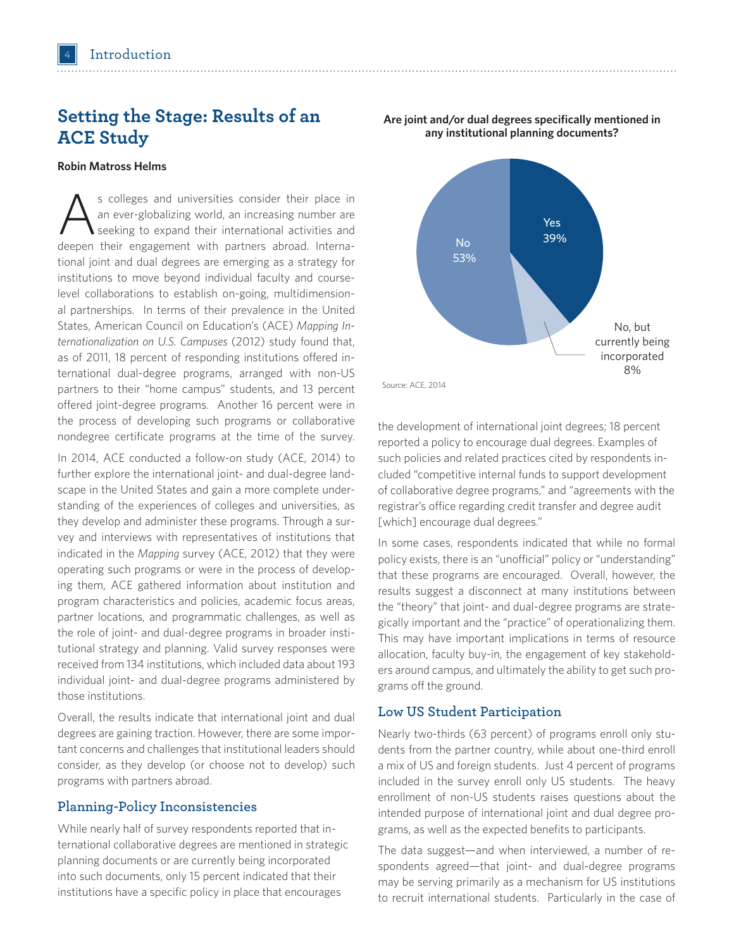# **Setting the Stage: Results of an ACE Study**

#### **Robin Matross Helms**

s colleges and universities consider their place in<br>an ever-globalizing world, an increasing number are<br>seeking to expand their international activities and<br>deepen their expansions with partners abroad laters. an ever-globalizing world, an increasing number are deepen their engagement with partners abroad. International joint and dual degrees are emerging as a strategy for institutions to move beyond individual faculty and courselevel collaborations to establish on-going, multidimensional partnerships. In terms of their prevalence in the United States, American Council on Education's (ACE) *Mapping Internationalization on U.S. Campuses* (2012) study found that, as of 2011, 18 percent of responding institutions offered international dual-degree programs, arranged with non-US partners to their "home campus" students, and 13 percent offered joint-degree programs. Another 16 percent were in the process of developing such programs or collaborative nondegree certificate programs at the time of the survey.

In 2014, ACE conducted a follow-on study (ACE, 2014) to further explore the international joint- and dual-degree landscape in the United States and gain a more complete understanding of the experiences of colleges and universities, as they develop and administer these programs. Through a survey and interviews with representatives of institutions that indicated in the *Mapping* survey (ACE, 2012) that they were operating such programs or were in the process of developing them, ACE gathered information about institution and program characteristics and policies, academic focus areas, partner locations, and programmatic challenges, as well as the role of joint- and dual-degree programs in broader institutional strategy and planning. Valid survey responses were received from 134 institutions, which included data about 193 individual joint- and dual-degree programs administered by those institutions.

Overall, the results indicate that international joint and dual degrees are gaining traction. However, there are some important concerns and challenges that institutional leaders should consider, as they develop (or choose not to develop) such programs with partners abroad.

### **Planning-Policy Inconsistencies**

While nearly half of survey respondents reported that international collaborative degrees are mentioned in strategic planning documents or are currently being incorporated into such documents, only 15 percent indicated that their institutions have a specific policy in place that encourages



the development of international joint degrees; 18 percent reported a policy to encourage dual degrees. Examples of such policies and related practices cited by respondents included "competitive internal funds to support development of collaborative degree programs," and "agreements with the registrar's office regarding credit transfer and degree audit [which] encourage dual degrees."

In some cases, respondents indicated that while no formal policy exists, there is an "unofficial" policy or "understanding" that these programs are encouraged. Overall, however, the results suggest a disconnect at many institutions between the "theory" that joint- and dual-degree programs are strategically important and the "practice" of operationalizing them. This may have important implications in terms of resource allocation, faculty buy-in, the engagement of key stakeholders around campus, and ultimately the ability to get such programs off the ground.

# **Low US Student Participation**

Nearly two-thirds (63 percent) of programs enroll only students from the partner country, while about one-third enroll a mix of US and foreign students. Just 4 percent of programs included in the survey enroll only US students. The heavy enrollment of non-US students raises questions about the intended purpose of international joint and dual degree programs, as well as the expected benefits to participants.

The data suggest—and when interviewed, a number of respondents agreed—that joint- and dual-degree programs may be serving primarily as a mechanism for US institutions to recruit international students. Particularly in the case of

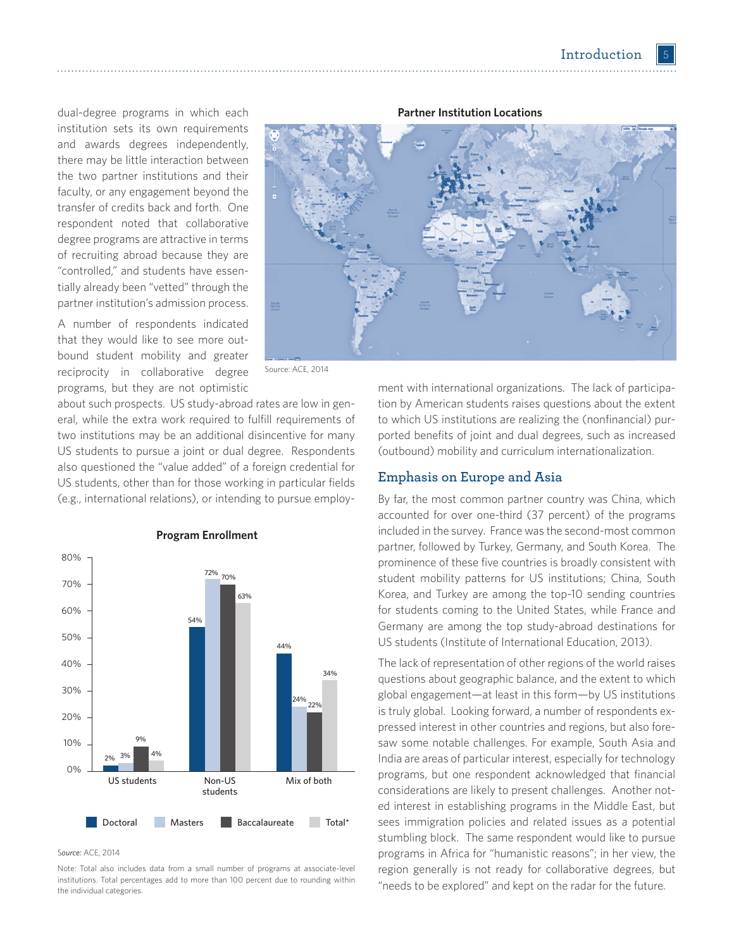dual-degree programs in which each institution sets its own requirements and awards degrees independently, there may be little interaction between the two partner institutions and their faculty, or any engagement beyond the transfer of credits back and forth. One respondent noted that collaborative degree programs are attractive in terms of recruiting abroad because they are "controlled," and students have essentially already been "vetted" through the partner institution's admission process.

A number of respondents indicated that they would like to see more outbound student mobility and greater reciprocity in collaborative degree programs, but they are not optimistic



Source: ACE, 2014

about such prospects. US study-abroad rates are low in general, while the extra work required to fulfill requirements of two institutions may be an additional disincentive for many US students to pursue a joint or dual degree. Respondents also questioned the "value added" of a foreign credential for US students, other than for those working in particular fields (e.g., international relations), or intending to pursue employ-



**Program Enrollment**

#### S*ource:* ACE, 2014

Note: Total also includes data from a small number of programs at associate-level institutions. Total percentages add to more than 100 percent due to rounding within the individual categories.

ment with international organizations. The lack of participation by American students raises questions about the extent to which US institutions are realizing the (nonfinancial) purported benefits of joint and dual degrees, such as increased (outbound) mobility and curriculum internationalization.

### **Emphasis on Europe and Asia**

By far, the most common partner country was China, which accounted for over one-third (37 percent) of the programs included in the survey. France was the second-most common partner, followed by Turkey, Germany, and South Korea. The prominence of these five countries is broadly consistent with student mobility patterns for US institutions; China, South Korea, and Turkey are among the top-10 sending countries for students coming to the United States, while France and Germany are among the top study-abroad destinations for US students (Institute of International Education, 2013).

The lack of representation of other regions of the world raises questions about geographic balance, and the extent to which global engagement—at least in this form—by US institutions is truly global. Looking forward, a number of respondents expressed interest in other countries and regions, but also foresaw some notable challenges. For example, South Asia and India are areas of particular interest, especially for technology programs, but one respondent acknowledged that financial considerations are likely to present challenges. Another noted interest in establishing programs in the Middle East, but sees immigration policies and related issues as a potential stumbling block. The same respondent would like to pursue programs in Africa for "humanistic reasons"; in her view, the region generally is not ready for collaborative degrees, but "needs to be explored" and kept on the radar for the future.

#### **Partner Institution Locations**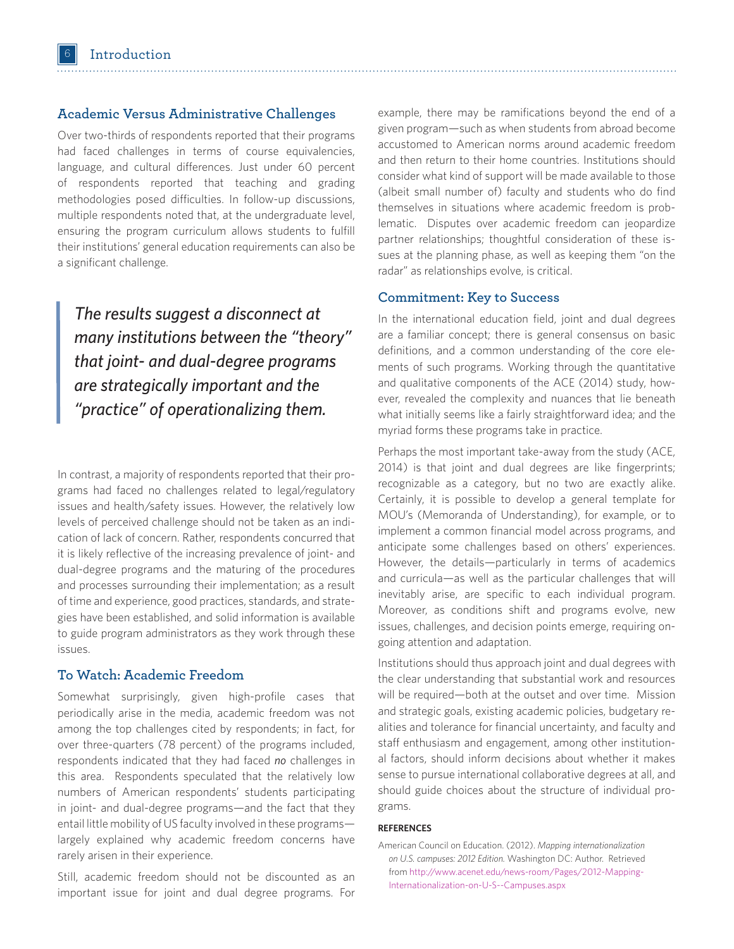### **Academic Versus Administrative Challenges**

Over two-thirds of respondents reported that their programs had faced challenges in terms of course equivalencies, language, and cultural differences. Just under 60 percent of respondents reported that teaching and grading methodologies posed difficulties. In follow-up discussions, multiple respondents noted that, at the undergraduate level, ensuring the program curriculum allows students to fulfill their institutions' general education requirements can also be a significant challenge.

*The results suggest a disconnect at many institutions between the "theory" that joint- and dual-degree programs are strategically important and the "practice" of operationalizing them.* 

In contrast, a majority of respondents reported that their programs had faced no challenges related to legal/regulatory issues and health/safety issues. However, the relatively low levels of perceived challenge should not be taken as an indication of lack of concern. Rather, respondents concurred that it is likely reflective of the increasing prevalence of joint- and dual-degree programs and the maturing of the procedures and processes surrounding their implementation; as a result of time and experience, good practices, standards, and strategies have been established, and solid information is available to guide program administrators as they work through these issues.

## **To Watch: Academic Freedom**

Somewhat surprisingly, given high-profile cases that periodically arise in the media, academic freedom was not among the top challenges cited by respondents; in fact, for over three-quarters (78 percent) of the programs included, respondents indicated that they had faced *no* challenges in this area. Respondents speculated that the relatively low numbers of American respondents' students participating in joint- and dual-degree programs—and the fact that they entail little mobility of US faculty involved in these programs largely explained why academic freedom concerns have rarely arisen in their experience.

Still, academic freedom should not be discounted as an important issue for joint and dual degree programs. For

example, there may be ramifications beyond the end of a given program—such as when students from abroad become accustomed to American norms around academic freedom and then return to their home countries. Institutions should consider what kind of support will be made available to those (albeit small number of) faculty and students who do find themselves in situations where academic freedom is problematic. Disputes over academic freedom can jeopardize partner relationships; thoughtful consideration of these issues at the planning phase, as well as keeping them "on the radar" as relationships evolve, is critical.

### **Commitment: Key to Success**

In the international education field, joint and dual degrees are a familiar concept; there is general consensus on basic definitions, and a common understanding of the core elements of such programs. Working through the quantitative and qualitative components of the ACE (2014) study, however, revealed the complexity and nuances that lie beneath what initially seems like a fairly straightforward idea; and the myriad forms these programs take in practice.

Perhaps the most important take-away from the study (ACE, 2014) is that joint and dual degrees are like fingerprints; recognizable as a category, but no two are exactly alike. Certainly, it is possible to develop a general template for MOU's (Memoranda of Understanding), for example, or to implement a common financial model across programs, and anticipate some challenges based on others' experiences. However, the details—particularly in terms of academics and curricula—as well as the particular challenges that will inevitably arise, are specific to each individual program. Moreover, as conditions shift and programs evolve, new issues, challenges, and decision points emerge, requiring ongoing attention and adaptation.

Institutions should thus approach joint and dual degrees with the clear understanding that substantial work and resources will be required—both at the outset and over time. Mission and strategic goals, existing academic policies, budgetary realities and tolerance for financial uncertainty, and faculty and staff enthusiasm and engagement, among other institutional factors, should inform decisions about whether it makes sense to pursue international collaborative degrees at all, and should guide choices about the structure of individual programs.

#### **REFERENCES**

American Council on Education. (2012). *Mapping internationalization on U.S. campuses: 2012 Edition.* Washington DC: Author. Retrieved from http://www.acenet.edu/news-room/Pages/2012-Mapping-Internationalization-on-U-S--Campuses.aspx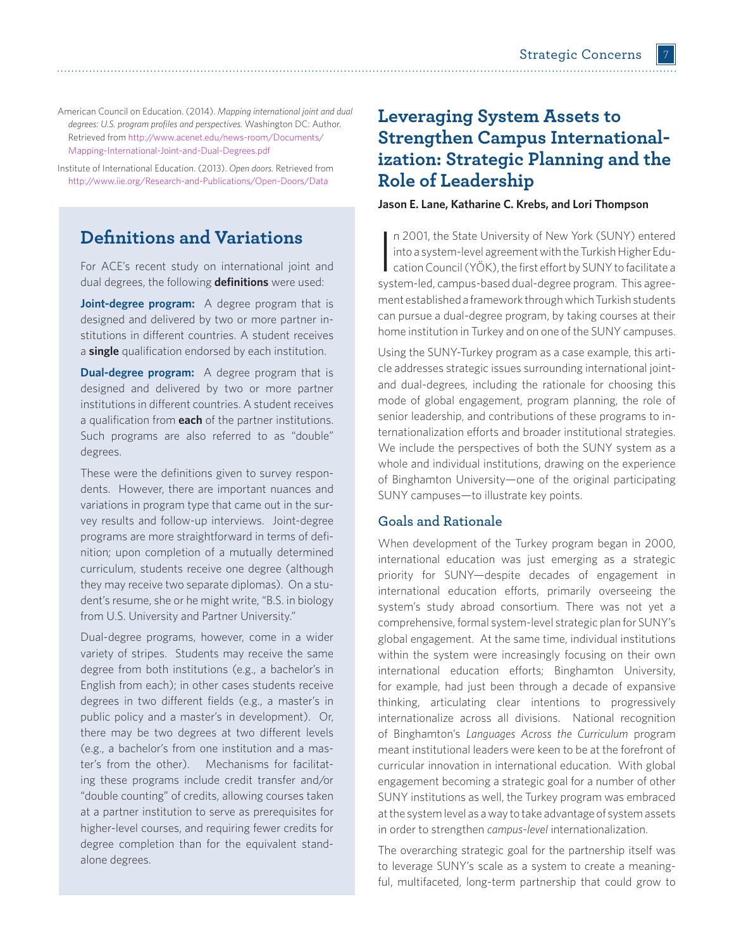American Council on Education. (2014). *Mapping international joint and dual degrees: U.S. program profiles and perspectives.* Washington DC: Author. Retrieved fro[m http://www.acenet.edu/news-room/Documents/](http://www.acenet.edu/news-room/Documents/Mapping-International-Joint-and-Dual-Degrees.pdf) [Mapping-International-Joint-and-Dual-Degrees.pdf](http://www.acenet.edu/news-room/Documents/Mapping-International-Joint-and-Dual-Degrees.pdf) 

Institute of International Education. (2013). *Open doors.* Retrieved from http://www.iie.org/Research-and-Publications/Open-Doors/Data

# **Definitions and Variations**

For ACE's recent study on international joint and dual degrees, the following **definitions** were used:

**Joint-degree program:** A degree program that is designed and delivered by two or more partner institutions in different countries. A student receives a **single** qualification endorsed by each institution.

**Dual-degree program:** A degree program that is designed and delivered by two or more partner institutions in different countries. A student receives a qualification from **each** of the partner institutions. Such programs are also referred to as "double" degrees.

These were the definitions given to survey respondents. However, there are important nuances and variations in program type that came out in the survey results and follow-up interviews. Joint-degree programs are more straightforward in terms of definition; upon completion of a mutually determined curriculum, students receive one degree (although they may receive two separate diplomas). On a student's resume, she or he might write, "B.S. in biology from U.S. University and Partner University."

Dual-degree programs, however, come in a wider variety of stripes. Students may receive the same degree from both institutions (e.g., a bachelor's in English from each); in other cases students receive degrees in two different fields (e.g., a master's in public policy and a master's in development). Or, there may be two degrees at two different levels (e.g., a bachelor's from one institution and a master's from the other). Mechanisms for facilitating these programs include credit transfer and/or "double counting" of credits, allowing courses taken at a partner institution to serve as prerequisites for higher-level courses, and requiring fewer credits for degree completion than for the equivalent standalone degrees.

# **Leveraging System Assets to Strengthen Campus Internationalization: Strategic Planning and the Role of Leadership**

**Jason E. Lane, Katharine C. Krebs, and Lori Thompson**

In 2001, the State University of New York (SUNY) entered<br>into a system-level agreement with the Turkish Higher Edu-<br>cation Council (YÖK), the first effort by SUNY to facilitate a<br>system led compus besed dual dorse program. n 2001, the State University of New York (SUNY) entered into a system-level agreement with the Turkish Higher Edusystem-led, campus-based dual-degree program. This agreement established a framework through which Turkish students can pursue a dual-degree program, by taking courses at their home institution in Turkey and on one of the SUNY campuses.

Using the SUNY-Turkey program as a case example, this article addresses strategic issues surrounding international jointand dual-degrees, including the rationale for choosing this mode of global engagement, program planning, the role of senior leadership, and contributions of these programs to internationalization efforts and broader institutional strategies. We include the perspectives of both the SUNY system as a whole and individual institutions, drawing on the experience of Binghamton University—one of the original participating SUNY campuses—to illustrate key points.

## **Goals and Rationale**

When development of the Turkey program began in 2000, international education was just emerging as a strategic priority for SUNY—despite decades of engagement in international education efforts, primarily overseeing the system's study abroad consortium. There was not yet a comprehensive, formal system-level strategic plan for SUNY's global engagement. At the same time, individual institutions within the system were increasingly focusing on their own international education efforts; Binghamton University, for example, had just been through a decade of expansive thinking, articulating clear intentions to progressively internationalize across all divisions. National recognition of Binghamton's *Languages Across the Curriculum* program meant institutional leaders were keen to be at the forefront of curricular innovation in international education. With global engagement becoming a strategic goal for a number of other SUNY institutions as well, the Turkey program was embraced at the system level as a way to take advantage of system assets in order to strengthen *campus-level* internationalization.

The overarching strategic goal for the partnership itself was to leverage SUNY's scale as a system to create a meaningful, multifaceted, long-term partnership that could grow to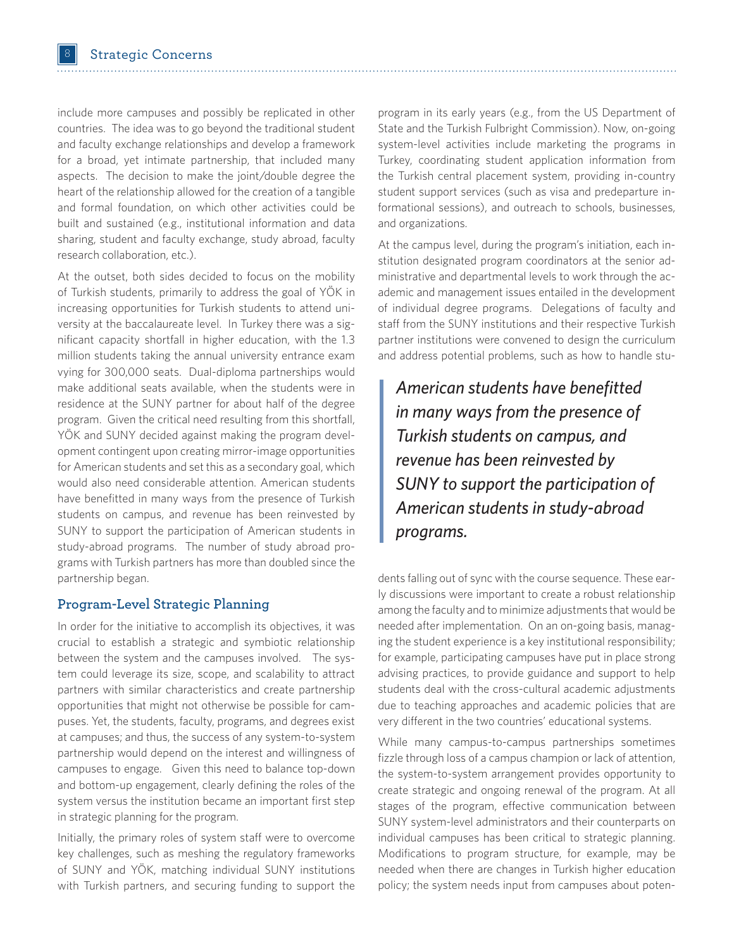include more campuses and possibly be replicated in other countries. The idea was to go beyond the traditional student and faculty exchange relationships and develop a framework for a broad, yet intimate partnership, that included many aspects. The decision to make the joint/double degree the heart of the relationship allowed for the creation of a tangible and formal foundation, on which other activities could be built and sustained (e.g., institutional information and data sharing, student and faculty exchange, study abroad, faculty research collaboration, etc.).

At the outset, both sides decided to focus on the mobility of Turkish students, primarily to address the goal of YÖK in increasing opportunities for Turkish students to attend university at the baccalaureate level. In Turkey there was a significant capacity shortfall in higher education, with the 1.3 million students taking the annual university entrance exam vying for 300,000 seats. Dual-diploma partnerships would make additional seats available, when the students were in residence at the SUNY partner for about half of the degree program. Given the critical need resulting from this shortfall, YÖK and SUNY decided against making the program development contingent upon creating mirror-image opportunities for American students and set this as a secondary goal, which would also need considerable attention. American students have benefitted in many ways from the presence of Turkish students on campus, and revenue has been reinvested by SUNY to support the participation of American students in study-abroad programs. The number of study abroad programs with Turkish partners has more than doubled since the partnership began.

## **Program-Level Strategic Planning**

In order for the initiative to accomplish its objectives, it was crucial to establish a strategic and symbiotic relationship between the system and the campuses involved. The system could leverage its size, scope, and scalability to attract partners with similar characteristics and create partnership opportunities that might not otherwise be possible for campuses. Yet, the students, faculty, programs, and degrees exist at campuses; and thus, the success of any system-to-system partnership would depend on the interest and willingness of campuses to engage. Given this need to balance top-down and bottom-up engagement, clearly defining the roles of the system versus the institution became an important first step in strategic planning for the program.

Initially, the primary roles of system staff were to overcome key challenges, such as meshing the regulatory frameworks of SUNY and YÖK, matching individual SUNY institutions with Turkish partners, and securing funding to support the program in its early years (e.g., from the US Department of State and the Turkish Fulbright Commission). Now, on-going system-level activities include marketing the programs in Turkey, coordinating student application information from the Turkish central placement system, providing in-country student support services (such as visa and predeparture informational sessions), and outreach to schools, businesses, and organizations.

At the campus level, during the program's initiation, each institution designated program coordinators at the senior administrative and departmental levels to work through the academic and management issues entailed in the development of individual degree programs. Delegations of faculty and staff from the SUNY institutions and their respective Turkish partner institutions were convened to design the curriculum and address potential problems, such as how to handle stu-

*American students have benefitted in many ways from the presence of Turkish students on campus, and revenue has been reinvested by SUNY to support the participation of American students in study-abroad programs.*

dents falling out of sync with the course sequence. These early discussions were important to create a robust relationship among the faculty and to minimize adjustments that would be needed after implementation. On an on-going basis, managing the student experience is a key institutional responsibility; for example, participating campuses have put in place strong advising practices, to provide guidance and support to help students deal with the cross-cultural academic adjustments due to teaching approaches and academic policies that are very different in the two countries' educational systems.

While many campus-to-campus partnerships sometimes fizzle through loss of a campus champion or lack of attention, the system-to-system arrangement provides opportunity to create strategic and ongoing renewal of the program. At all stages of the program, effective communication between SUNY system-level administrators and their counterparts on individual campuses has been critical to strategic planning. Modifications to program structure, for example, may be needed when there are changes in Turkish higher education policy; the system needs input from campuses about poten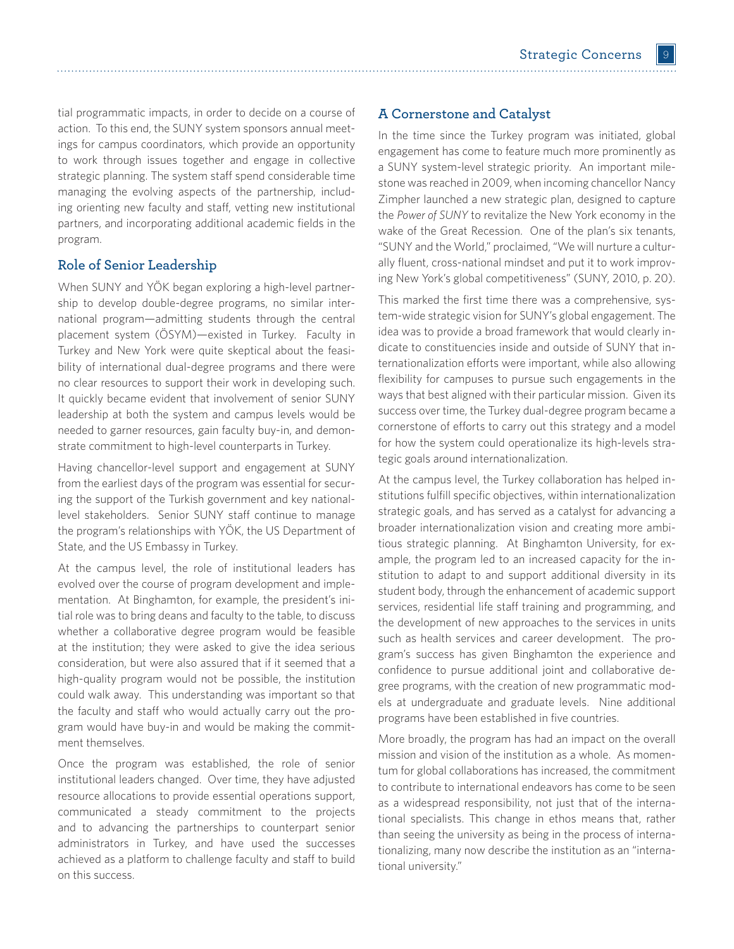tial programmatic impacts, in order to decide on a course of action. To this end, the SUNY system sponsors annual meetings for campus coordinators, which provide an opportunity to work through issues together and engage in collective strategic planning. The system staff spend considerable time managing the evolving aspects of the partnership, including orienting new faculty and staff, vetting new institutional partners, and incorporating additional academic fields in the program.

# **Role of Senior Leadership**

When SUNY and YÖK began exploring a high-level partnership to develop double-degree programs, no similar international program—admitting students through the central placement system (ÖSYM)—existed in Turkey. Faculty in Turkey and New York were quite skeptical about the feasibility of international dual-degree programs and there were no clear resources to support their work in developing such. It quickly became evident that involvement of senior SUNY leadership at both the system and campus levels would be needed to garner resources, gain faculty buy-in, and demonstrate commitment to high-level counterparts in Turkey.

Having chancellor-level support and engagement at SUNY from the earliest days of the program was essential for securing the support of the Turkish government and key nationallevel stakeholders. Senior SUNY staff continue to manage the program's relationships with YÖK, the US Department of State, and the US Embassy in Turkey.

At the campus level, the role of institutional leaders has evolved over the course of program development and implementation. At Binghamton, for example, the president's initial role was to bring deans and faculty to the table, to discuss whether a collaborative degree program would be feasible at the institution; they were asked to give the idea serious consideration, but were also assured that if it seemed that a high-quality program would not be possible, the institution could walk away. This understanding was important so that the faculty and staff who would actually carry out the program would have buy-in and would be making the commitment themselves.

Once the program was established, the role of senior institutional leaders changed. Over time, they have adjusted resource allocations to provide essential operations support, communicated a steady commitment to the projects and to advancing the partnerships to counterpart senior administrators in Turkey, and have used the successes achieved as a platform to challenge faculty and staff to build on this success.

# **A Cornerstone and Catalyst**

In the time since the Turkey program was initiated, global engagement has come to feature much more prominently as a SUNY system-level strategic priority. An important milestone was reached in 2009, when incoming chancellor Nancy Zimpher launched a new strategic plan, designed to capture the *Power of SUNY* to revitalize the New York economy in the wake of the Great Recession. One of the plan's six tenants, "SUNY and the World," proclaimed, "We will nurture a culturally fluent, cross-national mindset and put it to work improving New York's global competitiveness" (SUNY, 2010, p. 20).

This marked the first time there was a comprehensive, system-wide strategic vision for SUNY's global engagement. The idea was to provide a broad framework that would clearly indicate to constituencies inside and outside of SUNY that internationalization efforts were important, while also allowing flexibility for campuses to pursue such engagements in the ways that best aligned with their particular mission. Given its success over time, the Turkey dual-degree program became a cornerstone of efforts to carry out this strategy and a model for how the system could operationalize its high-levels strategic goals around internationalization.

At the campus level, the Turkey collaboration has helped institutions fulfill specific objectives, within internationalization strategic goals, and has served as a catalyst for advancing a broader internationalization vision and creating more ambitious strategic planning. At Binghamton University, for example, the program led to an increased capacity for the institution to adapt to and support additional diversity in its student body, through the enhancement of academic support services, residential life staff training and programming, and the development of new approaches to the services in units such as health services and career development. The program's success has given Binghamton the experience and confidence to pursue additional joint and collaborative degree programs, with the creation of new programmatic models at undergraduate and graduate levels. Nine additional programs have been established in five countries.

More broadly, the program has had an impact on the overall mission and vision of the institution as a whole. As momentum for global collaborations has increased, the commitment to contribute to international endeavors has come to be seen as a widespread responsibility, not just that of the international specialists. This change in ethos means that, rather than seeing the university as being in the process of internationalizing, many now describe the institution as an "international university."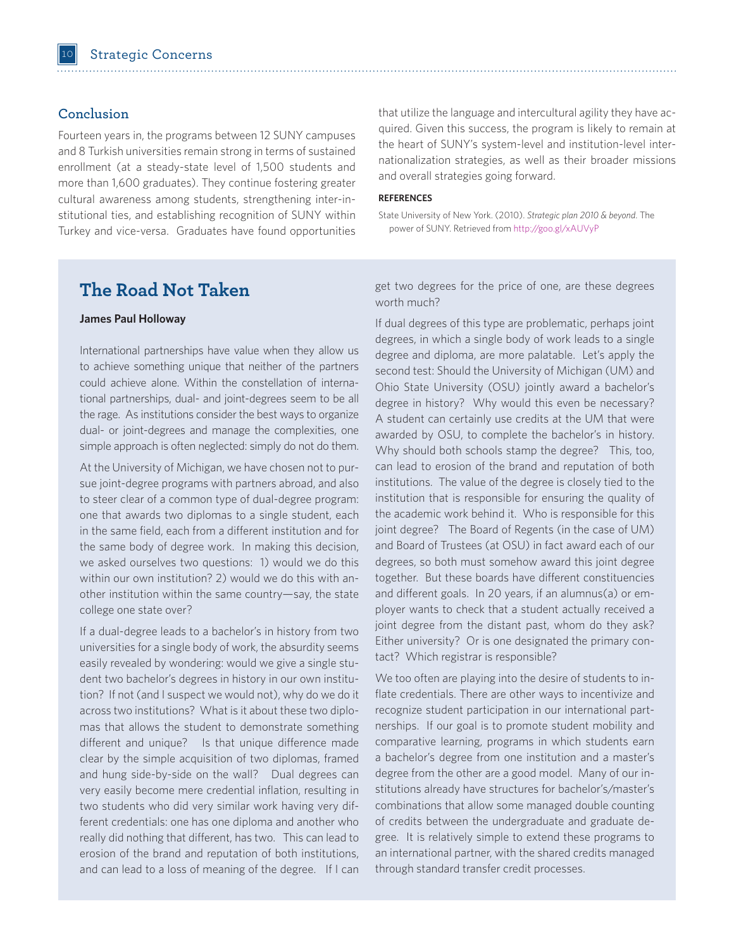# **Conclusion**

Fourteen years in, the programs between 12 SUNY campuses and 8 Turkish universities remain strong in terms of sustained enrollment (at a steady-state level of 1,500 students and more than 1,600 graduates). They continue fostering greater cultural awareness among students, strengthening inter-institutional ties, and establishing recognition of SUNY within Turkey and vice-versa. Graduates have found opportunities that utilize the language and intercultural agility they have acquired. Given this success, the program is likely to remain at the heart of SUNY's system-level and institution-level internationalization strategies, as well as their broader missions and overall strategies going forward.

#### **REFERENCES**

State University of New York. (2010). *Strategic plan 2010 & beyond*. The power of SUNY. Retrieved from http://goo.gl/xAUVyP

# **The Road Not Taken**

#### **James Paul Holloway**

International partnerships have value when they allow us to achieve something unique that neither of the partners could achieve alone. Within the constellation of international partnerships, dual- and joint-degrees seem to be all the rage. As institutions consider the best ways to organize dual- or joint-degrees and manage the complexities, one simple approach is often neglected: simply do not do them.

At the University of Michigan, we have chosen not to pursue joint-degree programs with partners abroad, and also to steer clear of a common type of dual-degree program: one that awards two diplomas to a single student, each in the same field, each from a different institution and for the same body of degree work. In making this decision, we asked ourselves two questions: 1) would we do this within our own institution? 2) would we do this with another institution within the same country—say, the state college one state over?

If a dual-degree leads to a bachelor's in history from two universities for a single body of work, the absurdity seems easily revealed by wondering: would we give a single student two bachelor's degrees in history in our own institution? If not (and I suspect we would not), why do we do it across two institutions? What is it about these two diplomas that allows the student to demonstrate something different and unique? Is that unique difference made clear by the simple acquisition of two diplomas, framed and hung side-by-side on the wall? Dual degrees can very easily become mere credential inflation, resulting in two students who did very similar work having very different credentials: one has one diploma and another who really did nothing that different, has two. This can lead to erosion of the brand and reputation of both institutions, and can lead to a loss of meaning of the degree. If I can get two degrees for the price of one, are these degrees worth much?

If dual degrees of this type are problematic, perhaps joint degrees, in which a single body of work leads to a single degree and diploma, are more palatable. Let's apply the second test: Should the University of Michigan (UM) and Ohio State University (OSU) jointly award a bachelor's degree in history? Why would this even be necessary? A student can certainly use credits at the UM that were awarded by OSU, to complete the bachelor's in history. Why should both schools stamp the degree? This, too, can lead to erosion of the brand and reputation of both institutions. The value of the degree is closely tied to the institution that is responsible for ensuring the quality of the academic work behind it. Who is responsible for this joint degree? The Board of Regents (in the case of UM) and Board of Trustees (at OSU) in fact award each of our degrees, so both must somehow award this joint degree together. But these boards have different constituencies and different goals. In 20 years, if an alumnus(a) or employer wants to check that a student actually received a joint degree from the distant past, whom do they ask? Either university? Or is one designated the primary contact? Which registrar is responsible?

We too often are playing into the desire of students to inflate credentials. There are other ways to incentivize and recognize student participation in our international partnerships. If our goal is to promote student mobility and comparative learning, programs in which students earn a bachelor's degree from one institution and a master's degree from the other are a good model. Many of our institutions already have structures for bachelor's/master's combinations that allow some managed double counting of credits between the undergraduate and graduate degree. It is relatively simple to extend these programs to an international partner, with the shared credits managed through standard transfer credit processes.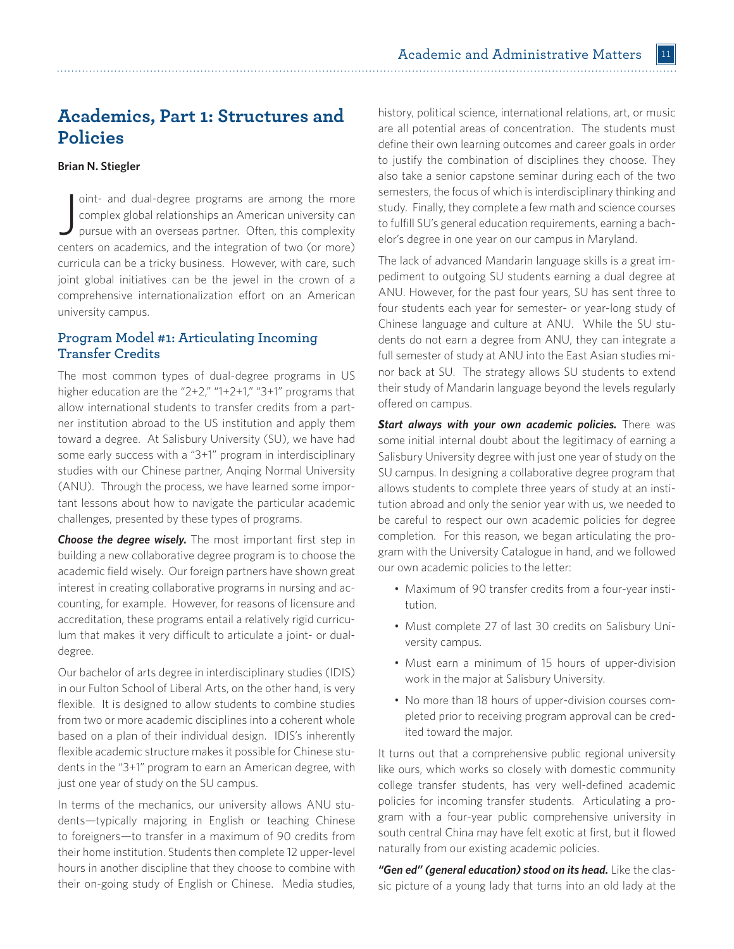# **Academics, Part 1: Structures and Policies**

### **Brian N. Stiegler**

oint- and dual-degree programs are among the more complex global relationships an American university can pursue with an overseas partner. Often, this complexity centers on academics, and the integration of two (or more) oint- and dual-degree programs are among the more complex global relationships an American university can pursue with an overseas partner. Often, this complexity curricula can be a tricky business. However, with care, such joint global initiatives can be the jewel in the crown of a comprehensive internationalization effort on an American university campus.

# **Program Model #1: Articulating Incoming Transfer Credits**

The most common types of dual-degree programs in US higher education are the "2+2," "1+2+1," "3+1" programs that allow international students to transfer credits from a partner institution abroad to the US institution and apply them toward a degree. At Salisbury University (SU), we have had some early success with a "3+1" program in interdisciplinary studies with our Chinese partner, Anqing Normal University (ANU). Through the process, we have learned some important lessons about how to navigate the particular academic challenges, presented by these types of programs.

*Choose the degree wisely.* The most important first step in building a new collaborative degree program is to choose the academic field wisely. Our foreign partners have shown great interest in creating collaborative programs in nursing and accounting, for example. However, for reasons of licensure and accreditation, these programs entail a relatively rigid curriculum that makes it very difficult to articulate a joint- or dualdegree.

Our bachelor of arts degree in interdisciplinary studies (IDIS) in our Fulton School of Liberal Arts, on the other hand, is very flexible. It is designed to allow students to combine studies from two or more academic disciplines into a coherent whole based on a plan of their individual design. IDIS's inherently flexible academic structure makes it possible for Chinese students in the "3+1" program to earn an American degree, with just one year of study on the SU campus.

In terms of the mechanics, our university allows ANU students—typically majoring in English or teaching Chinese to foreigners—to transfer in a maximum of 90 credits from their home institution. Students then complete 12 upper-level hours in another discipline that they choose to combine with their on-going study of English or Chinese. Media studies,

history, political science, international relations, art, or music are all potential areas of concentration. The students must define their own learning outcomes and career goals in order to justify the combination of disciplines they choose. They also take a senior capstone seminar during each of the two semesters, the focus of which is interdisciplinary thinking and study. Finally, they complete a few math and science courses to fulfill SU's general education requirements, earning a bachelor's degree in one year on our campus in Maryland.

The lack of advanced Mandarin language skills is a great impediment to outgoing SU students earning a dual degree at ANU. However, for the past four years, SU has sent three to four students each year for semester- or year-long study of Chinese language and culture at ANU. While the SU students do not earn a degree from ANU, they can integrate a full semester of study at ANU into the East Asian studies minor back at SU. The strategy allows SU students to extend their study of Mandarin language beyond the levels regularly offered on campus.

**Start always with your own academic policies.** There was some initial internal doubt about the legitimacy of earning a Salisbury University degree with just one year of study on the SU campus. In designing a collaborative degree program that allows students to complete three years of study at an institution abroad and only the senior year with us, we needed to be careful to respect our own academic policies for degree completion. For this reason, we began articulating the program with the University Catalogue in hand, and we followed our own academic policies to the letter:

- Maximum of 90 transfer credits from a four-year institution.
- Must complete 27 of last 30 credits on Salisbury University campus.
- Must earn a minimum of 15 hours of upper-division work in the major at Salisbury University.
- No more than 18 hours of upper-division courses completed prior to receiving program approval can be credited toward the major.

It turns out that a comprehensive public regional university like ours, which works so closely with domestic community college transfer students, has very well-defined academic policies for incoming transfer students. Articulating a program with a four-year public comprehensive university in south central China may have felt exotic at first, but it flowed naturally from our existing academic policies.

*"Gen ed" (general education) stood on its head.* Like the classic picture of a young lady that turns into an old lady at the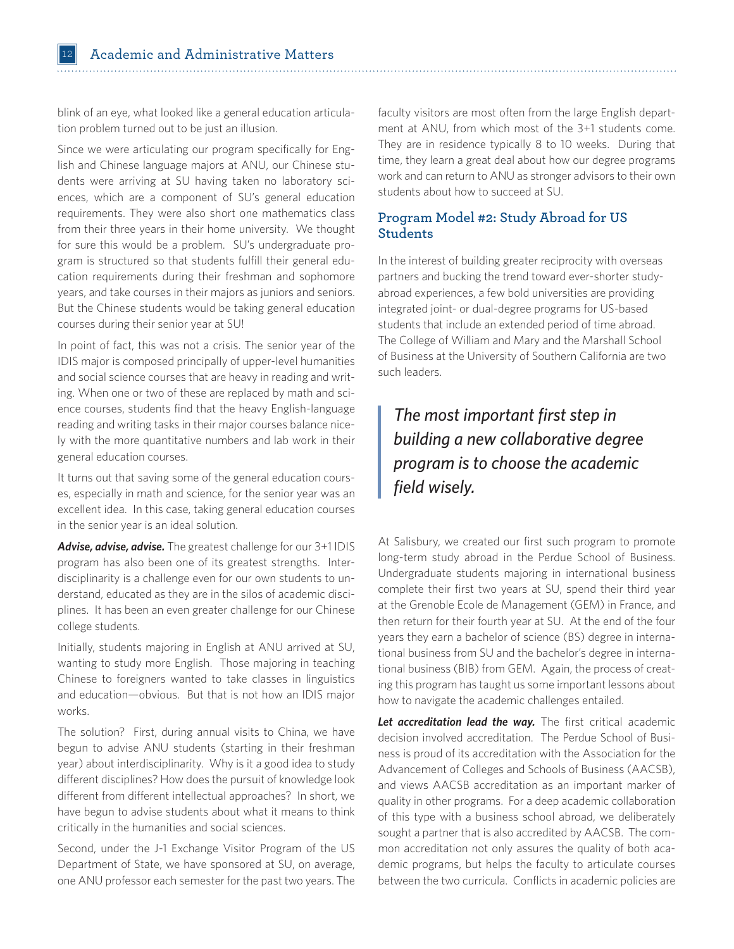blink of an eye, what looked like a general education articulation problem turned out to be just an illusion.

Since we were articulating our program specifically for English and Chinese language majors at ANU, our Chinese students were arriving at SU having taken no laboratory sciences, which are a component of SU's general education requirements. They were also short one mathematics class from their three years in their home university. We thought for sure this would be a problem. SU's undergraduate program is structured so that students fulfill their general education requirements during their freshman and sophomore years, and take courses in their majors as juniors and seniors. But the Chinese students would be taking general education courses during their senior year at SU!

In point of fact, this was not a crisis. The senior year of the IDIS major is composed principally of upper-level humanities and social science courses that are heavy in reading and writing. When one or two of these are replaced by math and science courses, students find that the heavy English-language reading and writing tasks in their major courses balance nicely with the more quantitative numbers and lab work in their general education courses.

It turns out that saving some of the general education courses, especially in math and science, for the senior year was an excellent idea. In this case, taking general education courses in the senior year is an ideal solution.

*Advise, advise, advise.* The greatest challenge for our 3+1 IDIS program has also been one of its greatest strengths. Interdisciplinarity is a challenge even for our own students to understand, educated as they are in the silos of academic disciplines. It has been an even greater challenge for our Chinese college students.

Initially, students majoring in English at ANU arrived at SU, wanting to study more English. Those majoring in teaching Chinese to foreigners wanted to take classes in linguistics and education—obvious. But that is not how an IDIS major works.

The solution? First, during annual visits to China, we have begun to advise ANU students (starting in their freshman year) about interdisciplinarity. Why is it a good idea to study different disciplines? How does the pursuit of knowledge look different from different intellectual approaches? In short, we have begun to advise students about what it means to think critically in the humanities and social sciences.

Second, under the J-1 Exchange Visitor Program of the US Department of State, we have sponsored at SU, on average, one ANU professor each semester for the past two years. The

faculty visitors are most often from the large English department at ANU, from which most of the 3+1 students come. They are in residence typically 8 to 10 weeks. During that time, they learn a great deal about how our degree programs work and can return to ANU as stronger advisors to their own students about how to succeed at SU.

# **Program Model #2: Study Abroad for US Students**

In the interest of building greater reciprocity with overseas partners and bucking the trend toward ever-shorter studyabroad experiences, a few bold universities are providing integrated joint- or dual-degree programs for US-based students that include an extended period of time abroad. The College of William and Mary and the Marshall School of Business at the University of Southern California are two such leaders.

# *The most important first step in building a new collaborative degree program is to choose the academic field wisely.*

At Salisbury, we created our first such program to promote long-term study abroad in the Perdue School of Business. Undergraduate students majoring in international business complete their first two years at SU, spend their third year at the Grenoble Ecole de Management (GEM) in France, and then return for their fourth year at SU. At the end of the four years they earn a bachelor of science (BS) degree in international business from SU and the bachelor's degree in international business (BIB) from GEM. Again, the process of creating this program has taught us some important lessons about how to navigate the academic challenges entailed.

Let accreditation lead the way. The first critical academic decision involved accreditation. The Perdue School of Business is proud of its accreditation with the Association for the Advancement of Colleges and Schools of Business (AACSB), and views AACSB accreditation as an important marker of quality in other programs. For a deep academic collaboration of this type with a business school abroad, we deliberately sought a partner that is also accredited by AACSB. The common accreditation not only assures the quality of both academic programs, but helps the faculty to articulate courses between the two curricula. Conflicts in academic policies are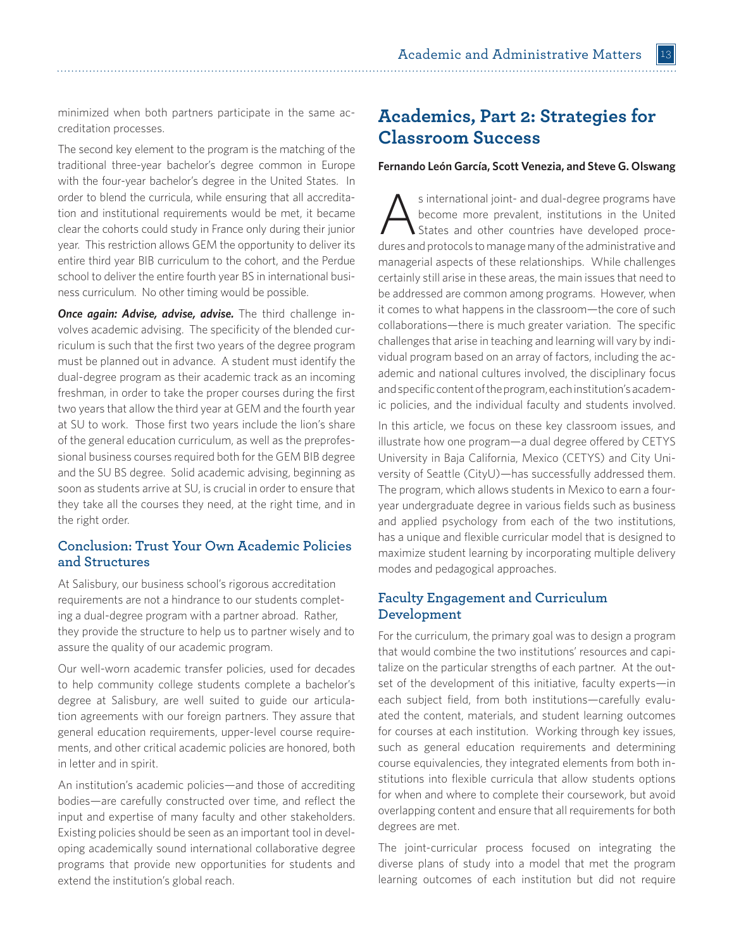minimized when both partners participate in the same accreditation processes.

The second key element to the program is the matching of the traditional three-year bachelor's degree common in Europe with the four-year bachelor's degree in the United States. In order to blend the curricula, while ensuring that all accreditation and institutional requirements would be met, it became clear the cohorts could study in France only during their junior year. This restriction allows GEM the opportunity to deliver its entire third year BIB curriculum to the cohort, and the Perdue school to deliver the entire fourth year BS in international business curriculum. No other timing would be possible.

*Once again: Advise, advise, advise.* The third challenge involves academic advising. The specificity of the blended curriculum is such that the first two years of the degree program must be planned out in advance. A student must identify the dual-degree program as their academic track as an incoming freshman, in order to take the proper courses during the first two years that allow the third year at GEM and the fourth year at SU to work. Those first two years include the lion's share of the general education curriculum, as well as the preprofessional business courses required both for the GEM BIB degree and the SU BS degree. Solid academic advising, beginning as soon as students arrive at SU, is crucial in order to ensure that they take all the courses they need, at the right time, and in the right order.

# **Conclusion: Trust Your Own Academic Policies and Structures**

At Salisbury, our business school's rigorous accreditation requirements are not a hindrance to our students completing a dual-degree program with a partner abroad. Rather, they provide the structure to help us to partner wisely and to assure the quality of our academic program.

Our well-worn academic transfer policies, used for decades to help community college students complete a bachelor's degree at Salisbury, are well suited to guide our articulation agreements with our foreign partners. They assure that general education requirements, upper-level course requirements, and other critical academic policies are honored, both in letter and in spirit.

An institution's academic policies—and those of accrediting bodies—are carefully constructed over time, and reflect the input and expertise of many faculty and other stakeholders. Existing policies should be seen as an important tool in developing academically sound international collaborative degree programs that provide new opportunities for students and extend the institution's global reach.

# **Academics, Part 2: Strategies for Classroom Success**

#### **Fernando León García, Scott Venezia, and Steve G. Olswang**

s international joint- and dual-degree programs have<br>become more prevalent, institutions in the United<br>States and other countries have developed procebecome more prevalent, institutions in the United States and other countries have developed procedures and protocols to manage many of the administrative and managerial aspects of these relationships. While challenges certainly still arise in these areas, the main issues that need to be addressed are common among programs. However, when it comes to what happens in the classroom—the core of such collaborations—there is much greater variation. The specific challenges that arise in teaching and learning will vary by individual program based on an array of factors, including the academic and national cultures involved, the disciplinary focus and specific content of the program, each institution's academic policies, and the individual faculty and students involved.

In this article, we focus on these key classroom issues, and illustrate how one program—a dual degree offered by CETYS University in Baja California, Mexico (CETYS) and City University of Seattle (CityU)—has successfully addressed them. The program, which allows students in Mexico to earn a fouryear undergraduate degree in various fields such as business and applied psychology from each of the two institutions, has a unique and flexible curricular model that is designed to maximize student learning by incorporating multiple delivery modes and pedagogical approaches.

# **Faculty Engagement and Curriculum Development**

For the curriculum, the primary goal was to design a program that would combine the two institutions' resources and capitalize on the particular strengths of each partner. At the outset of the development of this initiative, faculty experts—in each subject field, from both institutions—carefully evaluated the content, materials, and student learning outcomes for courses at each institution. Working through key issues, such as general education requirements and determining course equivalencies, they integrated elements from both institutions into flexible curricula that allow students options for when and where to complete their coursework, but avoid overlapping content and ensure that all requirements for both degrees are met.

The joint-curricular process focused on integrating the diverse plans of study into a model that met the program learning outcomes of each institution but did not require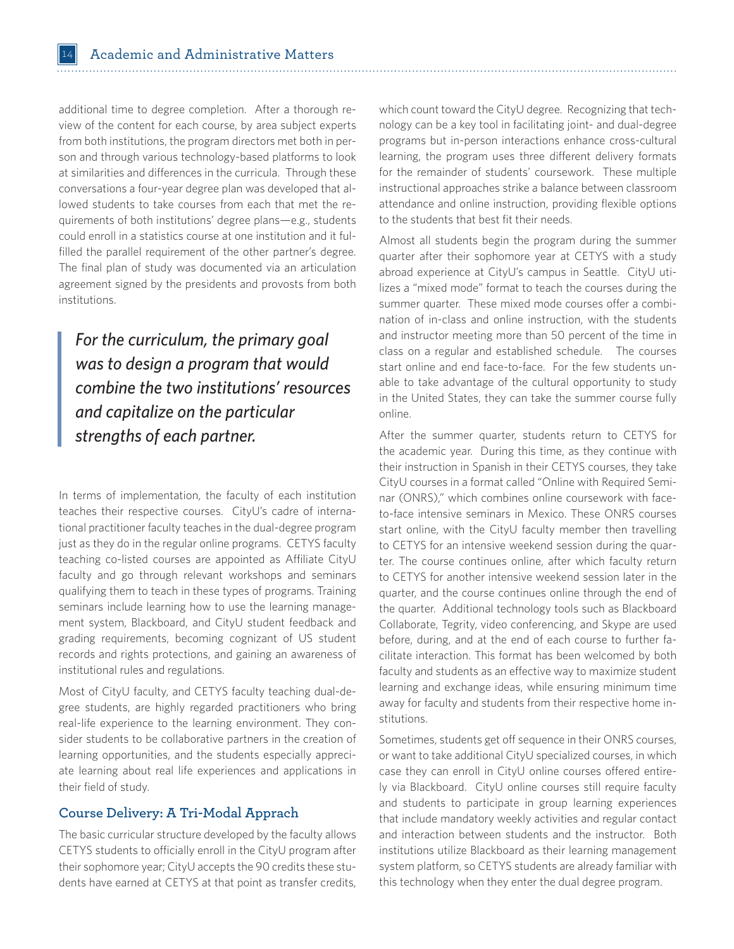additional time to degree completion. After a thorough review of the content for each course, by area subject experts from both institutions, the program directors met both in person and through various technology-based platforms to look at similarities and differences in the curricula. Through these conversations a four-year degree plan was developed that allowed students to take courses from each that met the requirements of both institutions' degree plans—e.g., students could enroll in a statistics course at one institution and it fulfilled the parallel requirement of the other partner's degree. The final plan of study was documented via an articulation agreement signed by the presidents and provosts from both institutions.

*For the curriculum, the primary goal was to design a program that would combine the two institutions' resources and capitalize on the particular strengths of each partner.*

In terms of implementation, the faculty of each institution teaches their respective courses. CityU's cadre of international practitioner faculty teaches in the dual-degree program just as they do in the regular online programs. CETYS faculty teaching co-listed courses are appointed as Affiliate CityU faculty and go through relevant workshops and seminars qualifying them to teach in these types of programs. Training seminars include learning how to use the learning management system, Blackboard, and CityU student feedback and grading requirements, becoming cognizant of US student records and rights protections, and gaining an awareness of institutional rules and regulations.

Most of CityU faculty, and CETYS faculty teaching dual-degree students, are highly regarded practitioners who bring real-life experience to the learning environment. They consider students to be collaborative partners in the creation of learning opportunities, and the students especially appreciate learning about real life experiences and applications in their field of study.

## **Course Delivery: A Tri-Modal Apprach**

The basic curricular structure developed by the faculty allows CETYS students to officially enroll in the CityU program after their sophomore year; CityU accepts the 90 credits these students have earned at CETYS at that point as transfer credits,

which count toward the CityU degree. Recognizing that technology can be a key tool in facilitating joint- and dual-degree programs but in-person interactions enhance cross-cultural learning, the program uses three different delivery formats for the remainder of students' coursework. These multiple instructional approaches strike a balance between classroom attendance and online instruction, providing flexible options to the students that best fit their needs.

Almost all students begin the program during the summer quarter after their sophomore year at CETYS with a study abroad experience at CityU's campus in Seattle. CityU utilizes a "mixed mode" format to teach the courses during the summer quarter. These mixed mode courses offer a combination of in-class and online instruction, with the students and instructor meeting more than 50 percent of the time in class on a regular and established schedule. The courses start online and end face-to-face. For the few students unable to take advantage of the cultural opportunity to study in the United States, they can take the summer course fully online.

After the summer quarter, students return to CETYS for the academic year. During this time, as they continue with their instruction in Spanish in their CETYS courses, they take CityU courses in a format called "Online with Required Seminar (ONRS)," which combines online coursework with faceto-face intensive seminars in Mexico. These ONRS courses start online, with the CityU faculty member then travelling to CETYS for an intensive weekend session during the quarter. The course continues online, after which faculty return to CETYS for another intensive weekend session later in the quarter, and the course continues online through the end of the quarter. Additional technology tools such as Blackboard Collaborate, Tegrity, video conferencing, and Skype are used before, during, and at the end of each course to further facilitate interaction. This format has been welcomed by both faculty and students as an effective way to maximize student learning and exchange ideas, while ensuring minimum time away for faculty and students from their respective home institutions.

Sometimes, students get off sequence in their ONRS courses, or want to take additional CityU specialized courses, in which case they can enroll in CityU online courses offered entirely via Blackboard. CityU online courses still require faculty and students to participate in group learning experiences that include mandatory weekly activities and regular contact and interaction between students and the instructor. Both institutions utilize Blackboard as their learning management system platform, so CETYS students are already familiar with this technology when they enter the dual degree program.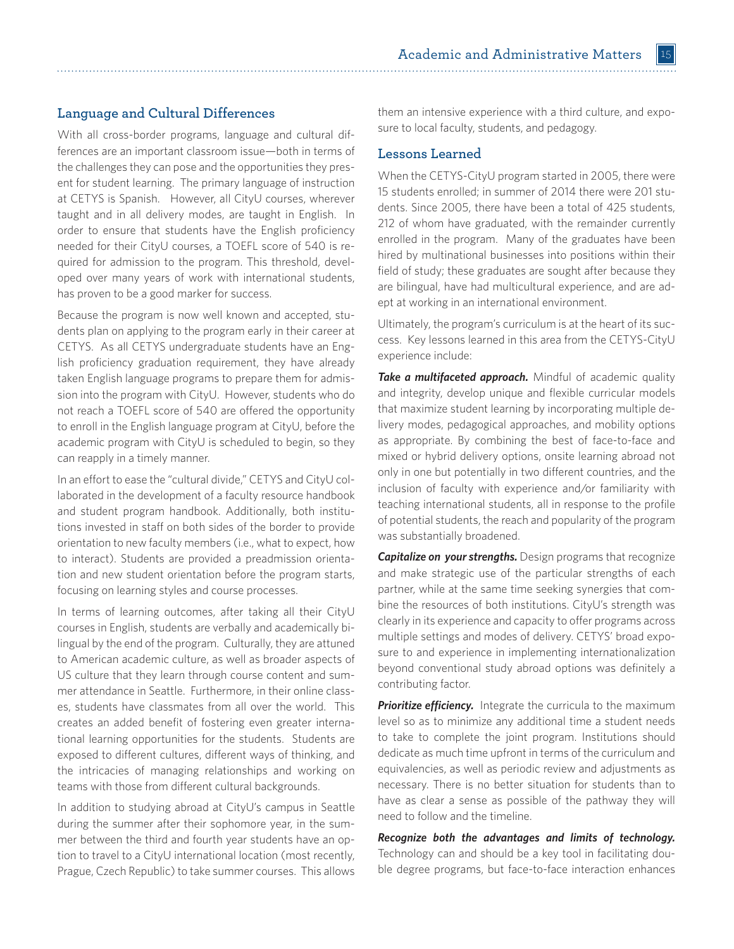Academic and Administrative Matters 15 

# **Language and Cultural Differences**

With all cross-border programs, language and cultural differences are an important classroom issue—both in terms of the challenges they can pose and the opportunities they present for student learning. The primary language of instruction at CETYS is Spanish. However, all CityU courses, wherever taught and in all delivery modes, are taught in English. In order to ensure that students have the English proficiency needed for their CityU courses, a TOEFL score of 540 is required for admission to the program. This threshold, developed over many years of work with international students, has proven to be a good marker for success.

Because the program is now well known and accepted, students plan on applying to the program early in their career at CETYS. As all CETYS undergraduate students have an English proficiency graduation requirement, they have already taken English language programs to prepare them for admission into the program with CityU. However, students who do not reach a TOEFL score of 540 are offered the opportunity to enroll in the English language program at CityU, before the academic program with CityU is scheduled to begin, so they can reapply in a timely manner.

In an effort to ease the "cultural divide," CETYS and CityU collaborated in the development of a faculty resource handbook and student program handbook. Additionally, both institutions invested in staff on both sides of the border to provide orientation to new faculty members (i.e., what to expect, how to interact). Students are provided a preadmission orientation and new student orientation before the program starts, focusing on learning styles and course processes.

In terms of learning outcomes, after taking all their CityU courses in English, students are verbally and academically bilingual by the end of the program. Culturally, they are attuned to American academic culture, as well as broader aspects of US culture that they learn through course content and summer attendance in Seattle. Furthermore, in their online classes, students have classmates from all over the world. This creates an added benefit of fostering even greater international learning opportunities for the students. Students are exposed to different cultures, different ways of thinking, and the intricacies of managing relationships and working on teams with those from different cultural backgrounds.

In addition to studying abroad at CityU's campus in Seattle during the summer after their sophomore year, in the summer between the third and fourth year students have an option to travel to a CityU international location (most recently, Prague, Czech Republic) to take summer courses. This allows them an intensive experience with a third culture, and exposure to local faculty, students, and pedagogy.

#### **Lessons Learned**

When the CETYS-CityU program started in 2005, there were 15 students enrolled; in summer of 2014 there were 201 students. Since 2005, there have been a total of 425 students, 212 of whom have graduated, with the remainder currently enrolled in the program. Many of the graduates have been hired by multinational businesses into positions within their field of study; these graduates are sought after because they are bilingual, have had multicultural experience, and are adept at working in an international environment.

Ultimately, the program's curriculum is at the heart of its success. Key lessons learned in this area from the CETYS-CityU experience include:

**Take a multifaceted approach.** Mindful of academic quality and integrity, develop unique and flexible curricular models that maximize student learning by incorporating multiple delivery modes, pedagogical approaches, and mobility options as appropriate. By combining the best of face-to-face and mixed or hybrid delivery options, onsite learning abroad not only in one but potentially in two different countries, and the inclusion of faculty with experience and/or familiarity with teaching international students, all in response to the profile of potential students, the reach and popularity of the program was substantially broadened.

*Capitalize on your strengths. Design programs that recognize* and make strategic use of the particular strengths of each partner, while at the same time seeking synergies that combine the resources of both institutions. CityU's strength was clearly in its experience and capacity to offer programs across multiple settings and modes of delivery. CETYS' broad exposure to and experience in implementing internationalization beyond conventional study abroad options was definitely a contributing factor.

**Prioritize efficiency.** Integrate the curricula to the maximum level so as to minimize any additional time a student needs to take to complete the joint program. Institutions should dedicate as much time upfront in terms of the curriculum and equivalencies, as well as periodic review and adjustments as necessary. There is no better situation for students than to have as clear a sense as possible of the pathway they will need to follow and the timeline.

*Recognize both the advantages and limits of technology.*  Technology can and should be a key tool in facilitating double degree programs, but face-to-face interaction enhances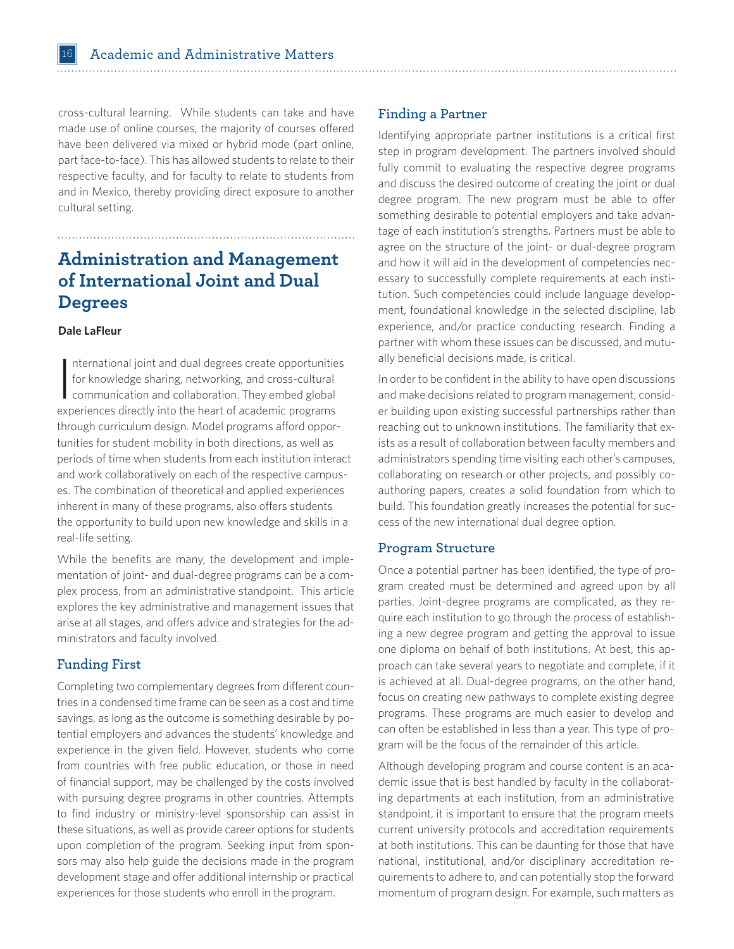cross-cultural learning. While students can take and have made use of online courses, the majority of courses offered have been delivered via mixed or hybrid mode (part online, part face-to-face). This has allowed students to relate to their respective faculty, and for faculty to relate to students from and in Mexico, thereby providing direct exposure to another cultural setting.

# **Administration and Management of International Joint and Dual Degrees**

#### **Dale LaFleur**

 $\overline{\phantom{a}}$ nternational joint and dual degrees create opportunities for knowledge sharing, networking, and cross-cultural communication and collaboration. They embed global experiences directly into the heart of academic programs through curriculum design. Model programs afford opportunities for student mobility in both directions, as well as periods of time when students from each institution interact and work collaboratively on each of the respective campuses. The combination of theoretical and applied experiences inherent in many of these programs, also offers students the opportunity to build upon new knowledge and skills in a real-life setting.

While the benefits are many, the development and implementation of joint- and dual-degree programs can be a complex process, from an administrative standpoint. This article explores the key administrative and management issues that arise at all stages, and offers advice and strategies for the administrators and faculty involved.

# **Funding First**

Completing two complementary degrees from different countries in a condensed time frame can be seen as a cost and time savings, as long as the outcome is something desirable by potential employers and advances the students' knowledge and experience in the given field. However, students who come from countries with free public education, or those in need of financial support, may be challenged by the costs involved with pursuing degree programs in other countries. Attempts to find industry or ministry-level sponsorship can assist in these situations, as well as provide career options for students upon completion of the program. Seeking input from sponsors may also help guide the decisions made in the program development stage and offer additional internship or practical experiences for those students who enroll in the program.

### **Finding a Partner**

Identifying appropriate partner institutions is a critical first step in program development. The partners involved should fully commit to evaluating the respective degree programs and discuss the desired outcome of creating the joint or dual degree program. The new program must be able to offer something desirable to potential employers and take advantage of each institution's strengths. Partners must be able to agree on the structure of the joint- or dual-degree program and how it will aid in the development of competencies necessary to successfully complete requirements at each institution. Such competencies could include language development, foundational knowledge in the selected discipline, lab experience, and/or practice conducting research. Finding a partner with whom these issues can be discussed, and mutually beneficial decisions made, is critical.

In order to be confident in the ability to have open discussions and make decisions related to program management, consider building upon existing successful partnerships rather than reaching out to unknown institutions. The familiarity that exists as a result of collaboration between faculty members and administrators spending time visiting each other's campuses, collaborating on research or other projects, and possibly coauthoring papers, creates a solid foundation from which to build. This foundation greatly increases the potential for success of the new international dual degree option.

### **Program Structure**

Once a potential partner has been identified, the type of program created must be determined and agreed upon by all parties. Joint-degree programs are complicated, as they require each institution to go through the process of establishing a new degree program and getting the approval to issue one diploma on behalf of both institutions. At best, this approach can take several years to negotiate and complete, if it is achieved at all. Dual-degree programs, on the other hand, focus on creating new pathways to complete existing degree programs. These programs are much easier to develop and can often be established in less than a year. This type of program will be the focus of the remainder of this article.

Although developing program and course content is an academic issue that is best handled by faculty in the collaborating departments at each institution, from an administrative standpoint, it is important to ensure that the program meets current university protocols and accreditation requirements at both institutions. This can be daunting for those that have national, institutional, and/or disciplinary accreditation requirements to adhere to, and can potentially stop the forward momentum of program design. For example, such matters as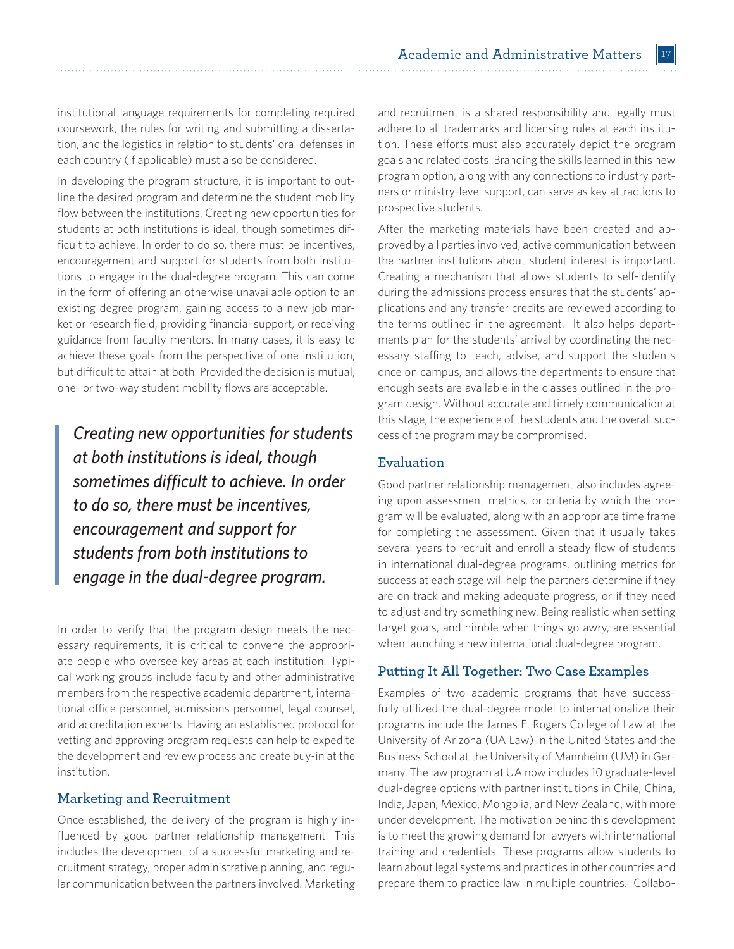institutional language requirements for completing required coursework, the rules for writing and submitting a dissertation, and the logistics in relation to students' oral defenses in each country (if applicable) must also be considered.

In developing the program structure, it is important to outline the desired program and determine the student mobility flow between the institutions. Creating new opportunities for students at both institutions is ideal, though sometimes difficult to achieve. In order to do so, there must be incentives, encouragement and support for students from both institutions to engage in the dual-degree program. This can come in the form of offering an otherwise unavailable option to an existing degree program, gaining access to a new job market or research field, providing financial support, or receiving guidance from faculty mentors. In many cases, it is easy to achieve these goals from the perspective of one institution, but difficult to attain at both. Provided the decision is mutual, one- or two-way student mobility flows are acceptable.

*Creating new opportunities for students at both institutions is ideal, though sometimes difficult to achieve. In order to do so, there must be incentives, encouragement and support for students from both institutions to engage in the dual-degree program.*

In order to verify that the program design meets the necessary requirements, it is critical to convene the appropriate people who oversee key areas at each institution. Typical working groups include faculty and other administrative members from the respective academic department, international office personnel, admissions personnel, legal counsel, and accreditation experts. Having an established protocol for vetting and approving program requests can help to expedite the development and review process and create buy-in at the institution.

# **Marketing and Recruitment**

Once established, the delivery of the program is highly influenced by good partner relationship management. This includes the development of a successful marketing and recruitment strategy, proper administrative planning, and regular communication between the partners involved. Marketing and recruitment is a shared responsibility and legally must adhere to all trademarks and licensing rules at each institution. These efforts must also accurately depict the program goals and related costs. Branding the skills learned in this new program option, along with any connections to industry partners or ministry-level support, can serve as key attractions to prospective students.

After the marketing materials have been created and approved by all parties involved, active communication between the partner institutions about student interest is important. Creating a mechanism that allows students to self-identify during the admissions process ensures that the students' applications and any transfer credits are reviewed according to the terms outlined in the agreement. It also helps departments plan for the students' arrival by coordinating the necessary staffing to teach, advise, and support the students once on campus, and allows the departments to ensure that enough seats are available in the classes outlined in the program design. Without accurate and timely communication at this stage, the experience of the students and the overall success of the program may be compromised.

### **Evaluation**

Good partner relationship management also includes agreeing upon assessment metrics, or criteria by which the program will be evaluated, along with an appropriate time frame for completing the assessment. Given that it usually takes several years to recruit and enroll a steady flow of students in international dual-degree programs, outlining metrics for success at each stage will help the partners determine if they are on track and making adequate progress, or if they need to adjust and try something new. Being realistic when setting target goals, and nimble when things go awry, are essential when launching a new international dual-degree program.

# **Putting It All Together: Two Case Examples**

Examples of two academic programs that have successfully utilized the dual-degree model to internationalize their programs include the James E. Rogers College of Law at the University of Arizona (UA Law) in the United States and the Business School at the University of Mannheim (UM) in Germany. The law program at UA now includes 10 graduate-level dual-degree options with partner institutions in Chile, China, India, Japan, Mexico, Mongolia, and New Zealand, with more under development. The motivation behind this development is to meet the growing demand for lawyers with international training and credentials. These programs allow students to learn about legal systems and practices in other countries and prepare them to practice law in multiple countries. Collabo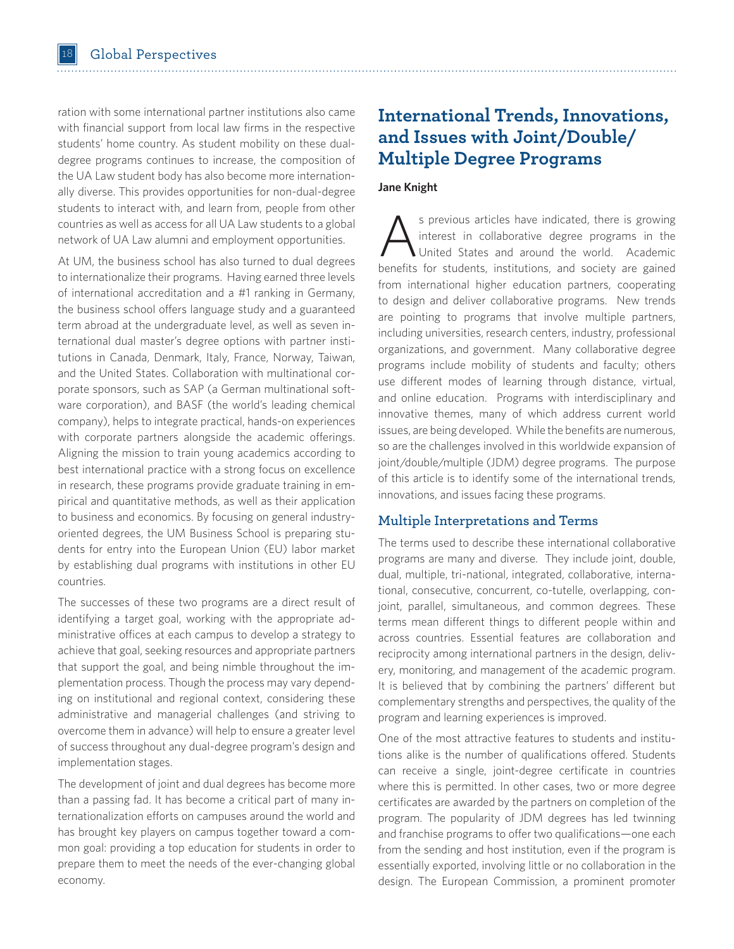ration with some international partner institutions also came with financial support from local law firms in the respective students' home country. As student mobility on these dualdegree programs continues to increase, the composition of the UA Law student body has also become more internationally diverse. This provides opportunities for non-dual-degree students to interact with, and learn from, people from other countries as well as access for all UA Law students to a global network of UA Law alumni and employment opportunities.

At UM, the business school has also turned to dual degrees to internationalize their programs. Having earned three levels of international accreditation and a #1 ranking in Germany, the business school offers language study and a guaranteed term abroad at the undergraduate level, as well as seven international dual master's degree options with partner institutions in Canada, Denmark, Italy, France, Norway, Taiwan, and the United States. Collaboration with multinational corporate sponsors, such as SAP (a German multinational software corporation), and BASF (the world's leading chemical company), helps to integrate practical, hands-on experiences with corporate partners alongside the academic offerings. Aligning the mission to train young academics according to best international practice with a strong focus on excellence in research, these programs provide graduate training in empirical and quantitative methods, as well as their application to business and economics. By focusing on general industryoriented degrees, the UM Business School is preparing students for entry into the European Union (EU) labor market by establishing dual programs with institutions in other EU countries.

The successes of these two programs are a direct result of identifying a target goal, working with the appropriate administrative offices at each campus to develop a strategy to achieve that goal, seeking resources and appropriate partners that support the goal, and being nimble throughout the implementation process. Though the process may vary depending on institutional and regional context, considering these administrative and managerial challenges (and striving to overcome them in advance) will help to ensure a greater level of success throughout any dual-degree program's design and implementation stages.

The development of joint and dual degrees has become more than a passing fad. It has become a critical part of many internationalization efforts on campuses around the world and has brought key players on campus together toward a common goal: providing a top education for students in order to prepare them to meet the needs of the ever-changing global economy.

# **International Trends, Innovations, and Issues with Joint/Double/ Multiple Degree Programs**

### **Jane Knight**

S previous articles have indicated, there is growing<br>interest in collaborative degree programs in the<br>United States and around the world. Academic<br>banafits for students institutions and society are goined interest in collaborative degree programs in the United States and around the world. Academic benefits for students, institutions, and society are gained from international higher education partners, cooperating to design and deliver collaborative programs. New trends are pointing to programs that involve multiple partners, including universities, research centers, industry, professional organizations, and government. Many collaborative degree programs include mobility of students and faculty; others use different modes of learning through distance, virtual, and online education. Programs with interdisciplinary and innovative themes, many of which address current world issues, are being developed. While the benefits are numerous, so are the challenges involved in this worldwide expansion of joint/double/multiple (JDM) degree programs. The purpose of this article is to identify some of the international trends, innovations, and issues facing these programs.

## **Multiple Interpretations and Terms**

The terms used to describe these international collaborative programs are many and diverse. They include joint, double, dual, multiple, tri-national, integrated, collaborative, international, consecutive, concurrent, co-tutelle, overlapping, conjoint, parallel, simultaneous, and common degrees. These terms mean different things to different people within and across countries. Essential features are collaboration and reciprocity among international partners in the design, delivery, monitoring, and management of the academic program. It is believed that by combining the partners' different but complementary strengths and perspectives, the quality of the program and learning experiences is improved.

One of the most attractive features to students and institutions alike is the number of qualifications offered. Students can receive a single, joint-degree certificate in countries where this is permitted. In other cases, two or more degree certificates are awarded by the partners on completion of the program. The popularity of JDM degrees has led twinning and franchise programs to offer two qualifications—one each from the sending and host institution, even if the program is essentially exported, involving little or no collaboration in the design. The European Commission, a prominent promoter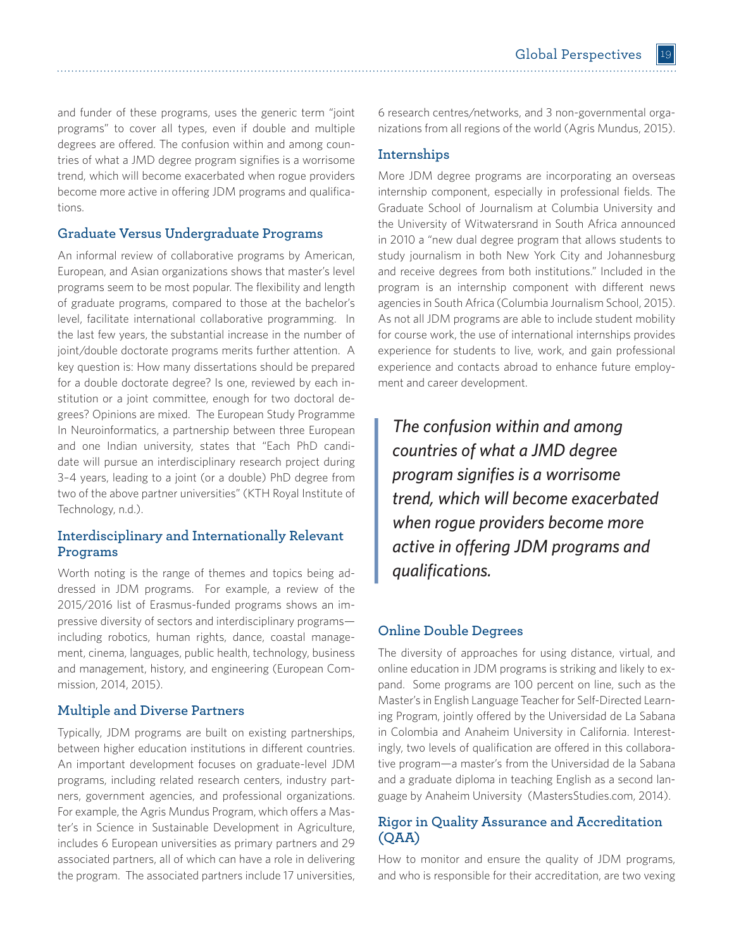and funder of these programs, uses the generic term "joint programs" to cover all types, even if double and multiple degrees are offered. The confusion within and among countries of what a JMD degree program signifies is a worrisome trend, which will become exacerbated when rogue providers become more active in offering JDM programs and qualifications.

# **Graduate Versus Undergraduate Programs**

An informal review of collaborative programs by American, European, and Asian organizations shows that master's level programs seem to be most popular. The flexibility and length of graduate programs, compared to those at the bachelor's level, facilitate international collaborative programming. In the last few years, the substantial increase in the number of joint/double doctorate programs merits further attention. A key question is: How many dissertations should be prepared for a double doctorate degree? Is one, reviewed by each institution or a joint committee, enough for two doctoral degrees? Opinions are mixed. The European Study Programme In Neuroinformatics, a partnership between three European and one Indian university, states that "Each PhD candidate will pursue an interdisciplinary research project during 3–4 years, leading to a joint (or a double) PhD degree from two of the above partner universities" (KTH Royal Institute of Technology, n.d.).

# **Interdisciplinary and Internationally Relevant Programs**

Worth noting is the range of themes and topics being addressed in JDM programs. For example, a review of the 2015/2016 list of Erasmus-funded programs shows an impressive diversity of sectors and interdisciplinary programs including robotics, human rights, dance, coastal management, cinema, languages, public health, technology, business and management, history, and engineering (European Commission, 2014, 2015).

# **Multiple and Diverse Partners**

Typically, JDM programs are built on existing partnerships, between higher education institutions in different countries. An important development focuses on graduate-level JDM programs, including related research centers, industry partners, government agencies, and professional organizations. For example, the Agris Mundus Program, which offers a Master's in Science in Sustainable Development in Agriculture, includes 6 European universities as primary partners and 29 associated partners, all of which can have a role in delivering the program. The associated partners include 17 universities,

6 research centres/networks, and 3 non-governmental organizations from all regions of the world (Agris Mundus, 2015).

# **Internships**

More JDM degree programs are incorporating an overseas internship component, especially in professional fields. The Graduate School of Journalism at Columbia University and the University of Witwatersrand in South Africa announced in 2010 a "new dual degree program that allows students to study journalism in both New York City and Johannesburg and receive degrees from both institutions." Included in the program is an internship component with different news agencies in South Africa (Columbia Journalism School, 2015). As not all JDM programs are able to include student mobility for course work, the use of international internships provides experience for students to live, work, and gain professional experience and contacts abroad to enhance future employment and career development.

*The confusion within and among countries of what a JMD degree program signifies is a worrisome trend, which will become exacerbated when rogue providers become more active in offering JDM programs and qualifications.* 

# **Online Double Degrees**

The diversity of approaches for using distance, virtual, and online education in JDM programs is striking and likely to expand. Some programs are 100 percent on line, such as the Master's in English Language Teacher for Self-Directed Learning Program, jointly offered by the Universidad de La Sabana in Colombia and Anaheim University in California. Interestingly, two levels of qualification are offered in this collaborative program—a master's from the Universidad de la Sabana and a graduate diploma in teaching English as a second language by Anaheim University (MastersStudies.com, 2014).

# **Rigor in Quality Assurance and Accreditation (QAA)**

How to monitor and ensure the quality of JDM programs, and who is responsible for their accreditation, are two vexing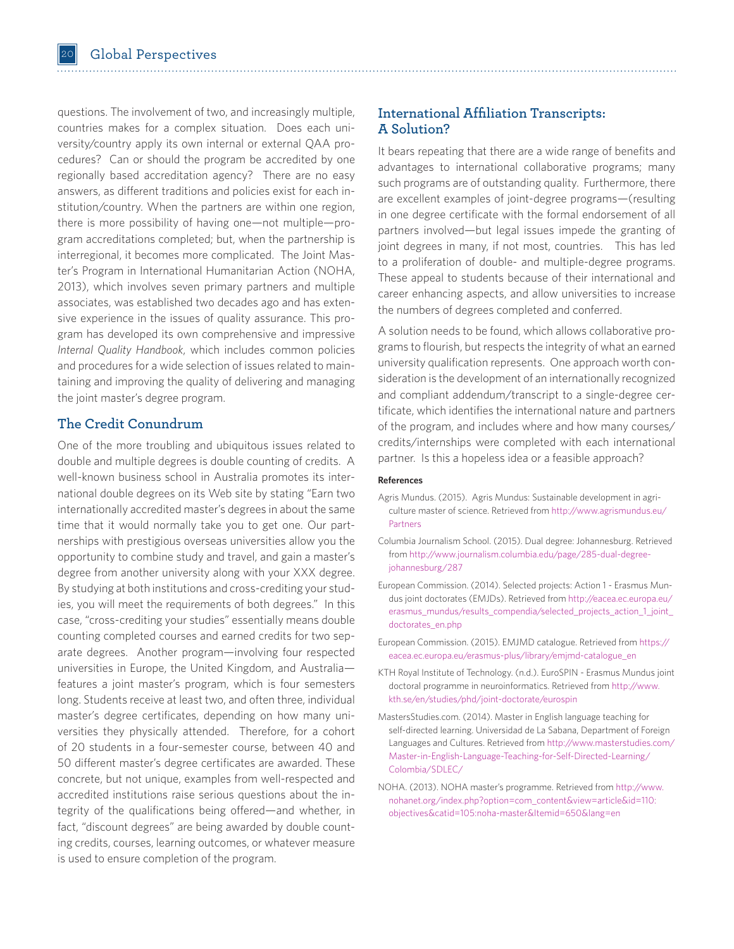questions. The involvement of two, and increasingly multiple, countries makes for a complex situation. Does each university/country apply its own internal or external QAA procedures? Can or should the program be accredited by one regionally based accreditation agency? There are no easy answers, as different traditions and policies exist for each institution/country. When the partners are within one region, there is more possibility of having one—not multiple—program accreditations completed; but, when the partnership is interregional, it becomes more complicated. The Joint Master's Program in International Humanitarian Action (NOHA, 2013), which involves seven primary partners and multiple associates, was established two decades ago and has extensive experience in the issues of quality assurance. This program has developed its own comprehensive and impressive *Internal Quality Handbook*, which includes common policies and procedures for a wide selection of issues related to maintaining and improving the quality of delivering and managing the joint master's degree program.

# **The Credit Conundrum**

One of the more troubling and ubiquitous issues related to double and multiple degrees is double counting of credits. A well-known business school in Australia promotes its international double degrees on its Web site by stating "Earn two internationally accredited master's degrees in about the same time that it would normally take you to get one. Our partnerships with prestigious overseas universities allow you the opportunity to combine study and travel, and gain a master's degree from another university along with your XXX degree. By studying at both institutions and cross-crediting your studies, you will meet the requirements of both degrees." In this case, "cross-crediting your studies" essentially means double counting completed courses and earned credits for two separate degrees. Another program—involving four respected universities in Europe, the United Kingdom, and Australia features a joint master's program, which is four semesters long. Students receive at least two, and often three, individual master's degree certificates, depending on how many universities they physically attended. Therefore, for a cohort of 20 students in a four-semester course, between 40 and 50 different master's degree certificates are awarded. These concrete, but not unique, examples from well-respected and accredited institutions raise serious questions about the integrity of the qualifications being offered—and whether, in fact, "discount degrees" are being awarded by double counting credits, courses, learning outcomes, or whatever measure is used to ensure completion of the program.

# **International Affiliation Transcripts: A Solution?**

It bears repeating that there are a wide range of benefits and advantages to international collaborative programs; many such programs are of outstanding quality. Furthermore, there are excellent examples of joint-degree programs—(resulting in one degree certificate with the formal endorsement of all partners involved—but legal issues impede the granting of joint degrees in many, if not most, countries. This has led to a proliferation of double- and multiple-degree programs. These appeal to students because of their international and career enhancing aspects, and allow universities to increase the numbers of degrees completed and conferred.

A solution needs to be found, which allows collaborative programs to flourish, but respects the integrity of what an earned university qualification represents. One approach worth consideration is the development of an internationally recognized and compliant addendum/transcript to a single-degree certificate, which identifies the international nature and partners of the program, and includes where and how many courses/ credits/internships were completed with each international partner. Is this a hopeless idea or a feasible approach?

#### **References**

- Agris Mundus. (2015). Agris Mundus: Sustainable development in agriculture master of science. Retrieved fro[m http://www.agrismundus.eu/](http://www.agrismundus.eu/Partners) [Partners](http://www.agrismundus.eu/Partners)
- Columbia Journalism School. (2015). Dual degree: Johannesburg. Retrieved from http://www.journalism.columbia.edu/page/285-dual-degreejohannesburg/287
- European Commission. (2014). Selected projects: Action 1 Erasmus Mundus joint doctorates (EMJDs). Retrieved from [http://eacea.ec.europa.eu/](http://eacea.ec.europa.eu/erasmus_mundus/results_compendia/selected_projects_action_1_joint_doctorates_en.php) [erasmus\\_mundus/results\\_compendia/selected\\_projects\\_action\\_1\\_joint\\_](http://eacea.ec.europa.eu/erasmus_mundus/results_compendia/selected_projects_action_1_joint_doctorates_en.php) [doctorates\\_en.php](http://eacea.ec.europa.eu/erasmus_mundus/results_compendia/selected_projects_action_1_joint_doctorates_en.php)
- European Commission. (2015). EMJMD catalogue. Retrieved from [https://](https://eacea.ec.europa.eu/erasmus-plus/library/emjmd-catalogue_en) [eacea.ec.europa.eu/erasmus-plus/library/emjmd-catalogue\\_en](https://eacea.ec.europa.eu/erasmus-plus/library/emjmd-catalogue_en)
- KTH Royal Institute of Technology. (n.d.). EuroSPIN Erasmus Mundus joint doctoral programme in neuroinformatics. Retrieved from [http://www.](http://www.kth.se/en/studies/phd/joint-doctorate/eurospin) [kth.se/en/studies/phd/joint-doctorate/eurospin](http://www.kth.se/en/studies/phd/joint-doctorate/eurospin)
- MastersStudies.com. (2014). Master in English language teaching for self-directed learning. Universidad de La Sabana, Department of Foreign Languages and Cultures. Retrieved from [http://www.masterstudies.com/](http://www.masterstudies.com/Master-in-English-Language-Teaching-for-Self-Directed-Learning/Colombia/SDLEC/) [Master-in-English-Language-Teaching-for-Self-Directed-Learning/](http://www.masterstudies.com/Master-in-English-Language-Teaching-for-Self-Directed-Learning/Colombia/SDLEC/) [Colombia/SDLEC/](http://www.masterstudies.com/Master-in-English-Language-Teaching-for-Self-Directed-Learning/Colombia/SDLEC/)
- NOHA. (2013). NOHA master's programme. Retrieved fro[m http://www.](http://www.nohanet.org/index.php?option=com_content&view=article&id=110:objectives&catid=105:noha-master&Itemid=650&lang=en) [nohanet.org/index.php?option=com\\_content&view=article&id=110:](http://www.nohanet.org/index.php?option=com_content&view=article&id=110:objectives&catid=105:noha-master&Itemid=650&lang=en) [objectives&catid=105:noha-master&Itemid=650&lang=en](http://www.nohanet.org/index.php?option=com_content&view=article&id=110:objectives&catid=105:noha-master&Itemid=650&lang=en)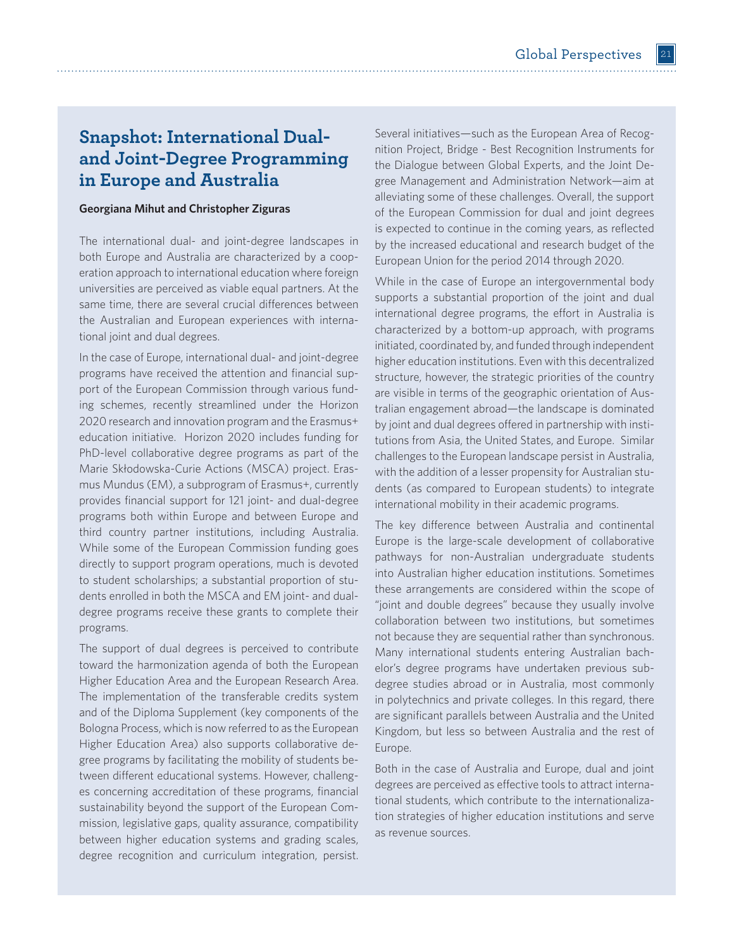# **Snapshot: International Dualand Joint-Degree Programming in Europe and Australia**

### **Georgiana Mihut and Christopher Ziguras**

The international dual- and joint-degree landscapes in both Europe and Australia are characterized by a cooperation approach to international education where foreign universities are perceived as viable equal partners. At the same time, there are several crucial differences between the Australian and European experiences with international joint and dual degrees.

In the case of Europe, international dual- and joint-degree programs have received the attention and financial support of the European Commission through various funding schemes, recently streamlined under the Horizon 2020 research and innovation program and the Erasmus+ education initiative. Horizon 2020 includes funding for PhD-level collaborative degree programs as part of the Marie Skłodowska-Curie Actions (MSCA) project. Erasmus Mundus (EM), a subprogram of Erasmus+, currently provides financial support for 121 joint- and dual-degree programs both within Europe and between Europe and third country partner institutions, including Australia. While some of the European Commission funding goes directly to support program operations, much is devoted to student scholarships; a substantial proportion of students enrolled in both the MSCA and EM joint- and dualdegree programs receive these grants to complete their programs.

The support of dual degrees is perceived to contribute toward the harmonization agenda of both the European Higher Education Area and the European Research Area. The implementation of the transferable credits system and of the Diploma Supplement (key components of the Bologna Process, which is now referred to as the European Higher Education Area) also supports collaborative degree programs by facilitating the mobility of students between different educational systems. However, challenges concerning accreditation of these programs, financial sustainability beyond the support of the European Commission, legislative gaps, quality assurance, compatibility between higher education systems and grading scales, degree recognition and curriculum integration, persist.

Several initiatives—such as the European Area of Recognition Project, Bridge - Best Recognition Instruments for the Dialogue between Global Experts, and the Joint Degree Management and Administration Network—aim at alleviating some of these challenges. Overall, the support of the European Commission for dual and joint degrees is expected to continue in the coming years, as reflected by the increased educational and research budget of the European Union for the period 2014 through 2020.

While in the case of Europe an intergovernmental body supports a substantial proportion of the joint and dual international degree programs, the effort in Australia is characterized by a bottom-up approach, with programs initiated, coordinated by, and funded through independent higher education institutions. Even with this decentralized structure, however, the strategic priorities of the country are visible in terms of the geographic orientation of Australian engagement abroad—the landscape is dominated by joint and dual degrees offered in partnership with institutions from Asia, the United States, and Europe. Similar challenges to the European landscape persist in Australia, with the addition of a lesser propensity for Australian students (as compared to European students) to integrate international mobility in their academic programs.

The key difference between Australia and continental Europe is the large-scale development of collaborative pathways for non-Australian undergraduate students into Australian higher education institutions. Sometimes these arrangements are considered within the scope of "joint and double degrees" because they usually involve collaboration between two institutions, but sometimes not because they are sequential rather than synchronous. Many international students entering Australian bachelor's degree programs have undertaken previous subdegree studies abroad or in Australia, most commonly in polytechnics and private colleges. In this regard, there are significant parallels between Australia and the United Kingdom, but less so between Australia and the rest of Europe.

Both in the case of Australia and Europe, dual and joint degrees are perceived as effective tools to attract international students, which contribute to the internationalization strategies of higher education institutions and serve as revenue sources.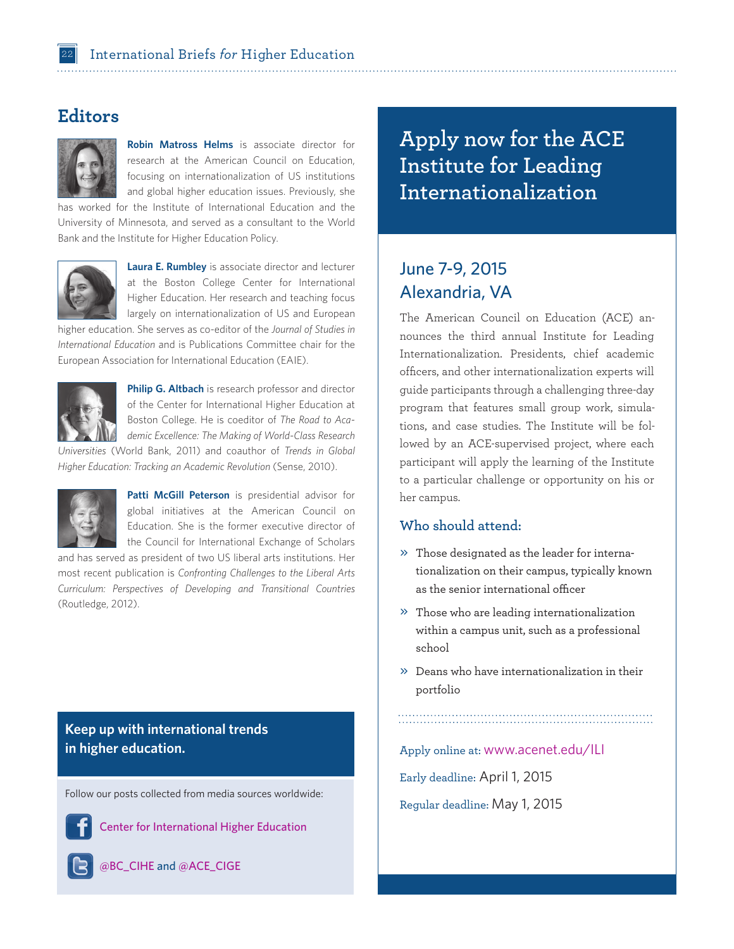# **Editors**



**Robin Matross Helms** is associate director for research at the American Council on Education, focusing on internationalization of US institutions and global higher education issues. Previously, she

has worked for the Institute of International Education and the University of Minnesota, and served as a consultant to the World Bank and the Institute for Higher Education Policy.



**Laura E. Rumbley** is associate director and lecturer at the Boston College Center for International Higher Education. Her research and teaching focus largely on internationalization of US and European

higher education. She serves as co-editor of the *Journal of Studies in International Education* and is Publications Committee chair for the European Association for International Education (EAIE).



**Philip G. Altbach** is research professor and director of the Center for International Higher Education at Boston College. He is coeditor of *The Road to Academic Excellence: The Making of World-Class Research* 

*Universities* (World Bank, 2011) and coauthor of *Trends in Global Higher Education: Tracking an Academic Revolution* (Sense, 2010).



Patti McGill Peterson is presidential advisor for global initiatives at the American Council on Education. She is the former executive director of the Council for International Exchange of Scholars

and has served as president of two US liberal arts institutions. Her most recent publication is *Confronting Challenges to the Liberal Arts Curriculum: Perspectives of Developing and Transitional Countries* (Routledge, 2012).

**Keep up with international trends in higher education.**

Follow our posts collected from media sources worldwide:



[Center for International Higher Education](http://www.facebook.com/Center.for.International.Higher.Education)

@B[C\\_CIHE](https://twitter.com/BC_CIHE/) and @[ACE\\_CIGE](https://twitter.com/ACE_CIGE/)

**Apply now for the ACE Institute for Leading Internationalization**

# June 7-9, 2015 Alexandria, VA

The American Council on Education (ACE) announces the third annual Institute for Leading Internationalization. Presidents, chief academic officers, and other internationalization experts will guide participants through a challenging three-day program that features small group work, simulations, and case studies. The Institute will be followed by an ACE-supervised project, where each participant will apply the learning of the Institute to a particular challenge or opportunity on his or her campus.

## **Who should attend:**

- » Those designated as the leader for internationalization on their campus, typically known as the senior international officer
- » Those who are leading internationalization within a campus unit, such as a professional school
- » Deans who have internationalization in their portfolio

Apply online at: www.acenet.edu/ILI

Early deadline: April 1, 2015 Regular deadline: May 1, 2015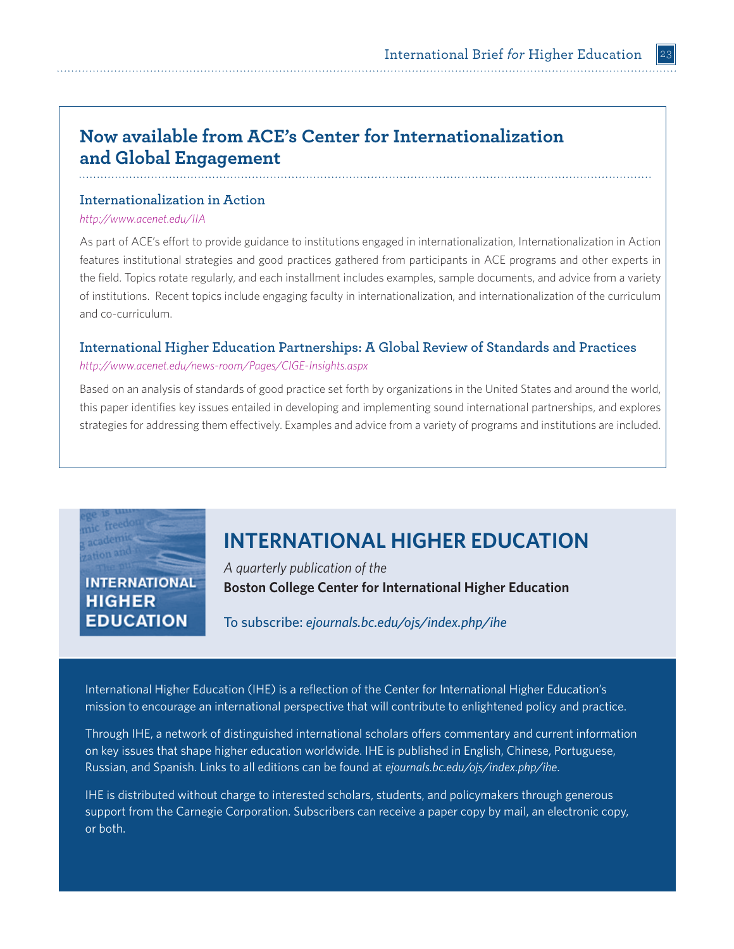# **Now available from ACE's Center for Internationalization and Global Engagement**

# **Internationalization in Action**

### *<http://www.acenet.edu/IIA>*

As part of ACE's effort to provide guidance to institutions engaged in internationalization, Internationalization in Action features institutional strategies and good practices gathered from participants in ACE programs and other experts in the field. Topics rotate regularly, and each installment includes examples, sample documents, and advice from a variety of institutions. Recent topics include engaging faculty in internationalization, and internationalization of the curriculum and co-curriculum.

# **International Higher Education Partnerships: A Global Review of Standards and Practices**

### *[http://www.acenet.edu/news-room/Pages/CIGE-Insights.aspx](http://www.acenet.edu/news-room/Pages/CIGE-Insights.aspx%0D)*

Based on an analysis of standards of good practice set forth by organizations in the United States and around the world, this paper identifies key issues entailed in developing and implementing sound international partnerships, and explores strategies for addressing them effectively. Examples and advice from a variety of programs and institutions are included.

# **INTERNATIONAL HIGHER EDUCATION**

# **INTERNATIONAL HIGHER EDUCATION**

*A quarterly publication of the*  **Boston College Center for International Higher Education**

To subscribe: *ejournals[.bc.edu/ojs/index.php/ihe](www.bc.edu/cihe/ihe)*

International Higher Education (IHE) is a reflection of the Center for International Higher Education's mission to encourage an international perspective that will contribute to enlightened policy and practice.

Through IHE, a network of distinguished international scholars offers commentary and current information on key issues that shape higher education worldwide. IHE is published in English, Chinese, Portuguese, Russian, and Spanish. Links to all editions can be found at *ejournals.bc.edu/ojs/index.php/ihe*.

IHE is distributed without charge to interested scholars, students, and policymakers through generous support from the Carnegie Corporation. Subscribers can receive a paper copy by mail, an electronic copy, or both.